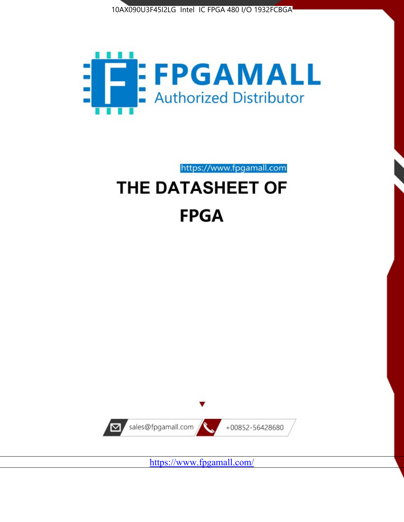



https://www.fpgamall.com

# THE DATASHEET OF **FPGA**



<https://www.fpgamall.com/>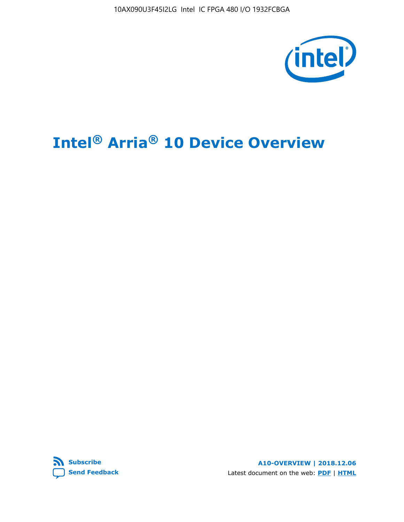10AX090U3F45I2LG Intel IC FPGA 480 I/O 1932FCBGA



# **Intel® Arria® 10 Device Overview**



**A10-OVERVIEW | 2018.12.06** Latest document on the web: **[PDF](https://www.intel.com/content/dam/www/programmable/us/en/pdfs/literature/hb/arria-10/a10_overview.pdf)** | **[HTML](https://www.intel.com/content/www/us/en/programmable/documentation/sam1403480274650.html)**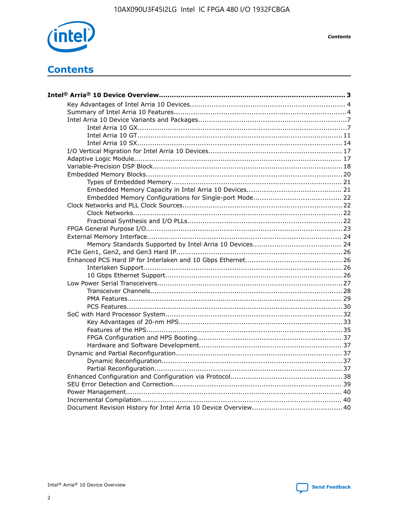

**Contents** 

## **Contents**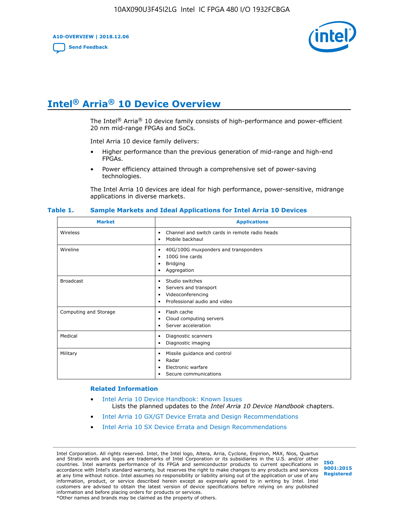**A10-OVERVIEW | 2018.12.06**

**[Send Feedback](mailto:FPGAtechdocfeedback@intel.com?subject=Feedback%20on%20Intel%20Arria%2010%20Device%20Overview%20(A10-OVERVIEW%202018.12.06)&body=We%20appreciate%20your%20feedback.%20In%20your%20comments,%20also%20specify%20the%20page%20number%20or%20paragraph.%20Thank%20you.)**



## **Intel® Arria® 10 Device Overview**

The Intel<sup>®</sup> Arria<sup>®</sup> 10 device family consists of high-performance and power-efficient 20 nm mid-range FPGAs and SoCs.

Intel Arria 10 device family delivers:

- Higher performance than the previous generation of mid-range and high-end FPGAs.
- Power efficiency attained through a comprehensive set of power-saving technologies.

The Intel Arria 10 devices are ideal for high performance, power-sensitive, midrange applications in diverse markets.

| <b>Market</b>         | <b>Applications</b>                                                                                               |
|-----------------------|-------------------------------------------------------------------------------------------------------------------|
| Wireless              | Channel and switch cards in remote radio heads<br>٠<br>Mobile backhaul<br>٠                                       |
| Wireline              | 40G/100G muxponders and transponders<br>٠<br>100G line cards<br>٠<br>Bridging<br>٠<br>Aggregation<br>٠            |
| <b>Broadcast</b>      | Studio switches<br>٠<br>Servers and transport<br>٠<br>Videoconferencing<br>٠<br>Professional audio and video<br>٠ |
| Computing and Storage | Flash cache<br>٠<br>Cloud computing servers<br>٠<br>Server acceleration<br>$\bullet$                              |
| Medical               | Diagnostic scanners<br>٠<br>Diagnostic imaging<br>٠                                                               |
| Military              | Missile guidance and control<br>٠<br>Radar<br>٠<br>Electronic warfare<br>٠<br>Secure communications<br>٠          |

#### **Table 1. Sample Markets and Ideal Applications for Intel Arria 10 Devices**

#### **Related Information**

- [Intel Arria 10 Device Handbook: Known Issues](http://www.altera.com/support/kdb/solutions/rd07302013_646.html) Lists the planned updates to the *Intel Arria 10 Device Handbook* chapters.
- [Intel Arria 10 GX/GT Device Errata and Design Recommendations](https://www.intel.com/content/www/us/en/programmable/documentation/agz1493851706374.html#yqz1494433888646)
- [Intel Arria 10 SX Device Errata and Design Recommendations](https://www.intel.com/content/www/us/en/programmable/documentation/cru1462832385668.html#cru1462832558642)

Intel Corporation. All rights reserved. Intel, the Intel logo, Altera, Arria, Cyclone, Enpirion, MAX, Nios, Quartus and Stratix words and logos are trademarks of Intel Corporation or its subsidiaries in the U.S. and/or other countries. Intel warrants performance of its FPGA and semiconductor products to current specifications in accordance with Intel's standard warranty, but reserves the right to make changes to any products and services at any time without notice. Intel assumes no responsibility or liability arising out of the application or use of any information, product, or service described herein except as expressly agreed to in writing by Intel. Intel customers are advised to obtain the latest version of device specifications before relying on any published information and before placing orders for products or services. \*Other names and brands may be claimed as the property of others.

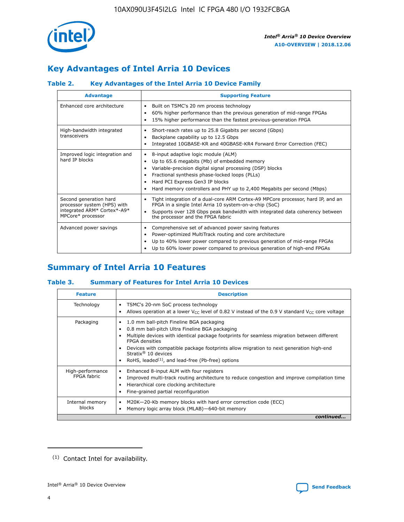

## **Key Advantages of Intel Arria 10 Devices**

#### **Table 2. Key Advantages of the Intel Arria 10 Device Family**

| <b>Advantage</b>                                                                                          | <b>Supporting Feature</b>                                                                                                                                                                                                                                                                                                |
|-----------------------------------------------------------------------------------------------------------|--------------------------------------------------------------------------------------------------------------------------------------------------------------------------------------------------------------------------------------------------------------------------------------------------------------------------|
| Enhanced core architecture                                                                                | Built on TSMC's 20 nm process technology<br>٠<br>60% higher performance than the previous generation of mid-range FPGAs<br>٠<br>15% higher performance than the fastest previous-generation FPGA<br>٠                                                                                                                    |
| High-bandwidth integrated<br>transceivers                                                                 | Short-reach rates up to 25.8 Gigabits per second (Gbps)<br>٠<br>Backplane capability up to 12.5 Gbps<br>٠<br>Integrated 10GBASE-KR and 40GBASE-KR4 Forward Error Correction (FEC)<br>٠                                                                                                                                   |
| Improved logic integration and<br>hard IP blocks                                                          | 8-input adaptive logic module (ALM)<br>٠<br>Up to 65.6 megabits (Mb) of embedded memory<br>٠<br>Variable-precision digital signal processing (DSP) blocks<br>Fractional synthesis phase-locked loops (PLLs)<br>Hard PCI Express Gen3 IP blocks<br>Hard memory controllers and PHY up to 2,400 Megabits per second (Mbps) |
| Second generation hard<br>processor system (HPS) with<br>integrated ARM* Cortex*-A9*<br>MPCore* processor | Tight integration of a dual-core ARM Cortex-A9 MPCore processor, hard IP, and an<br>٠<br>FPGA in a single Intel Arria 10 system-on-a-chip (SoC)<br>Supports over 128 Gbps peak bandwidth with integrated data coherency between<br>$\bullet$<br>the processor and the FPGA fabric                                        |
| Advanced power savings                                                                                    | Comprehensive set of advanced power saving features<br>٠<br>Power-optimized MultiTrack routing and core architecture<br>٠<br>Up to 40% lower power compared to previous generation of mid-range FPGAs<br>٠<br>Up to 60% lower power compared to previous generation of high-end FPGAs<br>٠                               |

## **Summary of Intel Arria 10 Features**

#### **Table 3. Summary of Features for Intel Arria 10 Devices**

| <b>Feature</b>                  | <b>Description</b>                                                                                                                                                                                                                                                                                                                                                                                 |
|---------------------------------|----------------------------------------------------------------------------------------------------------------------------------------------------------------------------------------------------------------------------------------------------------------------------------------------------------------------------------------------------------------------------------------------------|
| Technology                      | TSMC's 20-nm SoC process technology<br>Allows operation at a lower $V_{CC}$ level of 0.82 V instead of the 0.9 V standard $V_{CC}$ core voltage                                                                                                                                                                                                                                                    |
| Packaging                       | 1.0 mm ball-pitch Fineline BGA packaging<br>٠<br>0.8 mm ball-pitch Ultra Fineline BGA packaging<br>Multiple devices with identical package footprints for seamless migration between different<br><b>FPGA</b> densities<br>Devices with compatible package footprints allow migration to next generation high-end<br>Stratix $@10$ devices<br>RoHS, leaded $(1)$ , and lead-free (Pb-free) options |
| High-performance<br>FPGA fabric | Enhanced 8-input ALM with four registers<br>Improved multi-track routing architecture to reduce congestion and improve compilation time<br>Hierarchical core clocking architecture<br>Fine-grained partial reconfiguration                                                                                                                                                                         |
| Internal memory<br>blocks       | M20K-20-Kb memory blocks with hard error correction code (ECC)<br>٠<br>Memory logic array block (MLAB)-640-bit memory                                                                                                                                                                                                                                                                              |
|                                 | continued                                                                                                                                                                                                                                                                                                                                                                                          |



<sup>(1)</sup> Contact Intel for availability.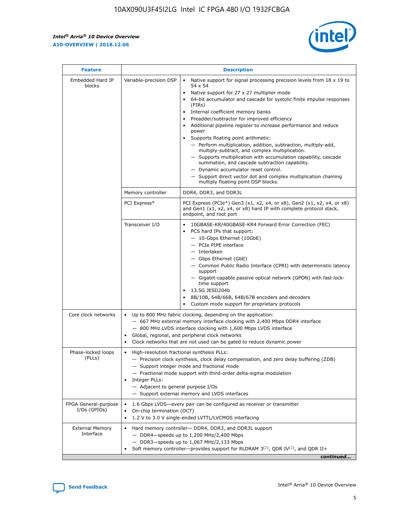r



| <b>Feature</b>                         |                                                                                                                                                                                                                                                                                                                          | <b>Description</b>                                                                                                                                                                                                                                                                                                                                                                                                                                                                                                                                                                                                                                                                                                                                                                                                                     |  |  |  |  |
|----------------------------------------|--------------------------------------------------------------------------------------------------------------------------------------------------------------------------------------------------------------------------------------------------------------------------------------------------------------------------|----------------------------------------------------------------------------------------------------------------------------------------------------------------------------------------------------------------------------------------------------------------------------------------------------------------------------------------------------------------------------------------------------------------------------------------------------------------------------------------------------------------------------------------------------------------------------------------------------------------------------------------------------------------------------------------------------------------------------------------------------------------------------------------------------------------------------------------|--|--|--|--|
| Embedded Hard IP<br>blocks             | Variable-precision DSP                                                                                                                                                                                                                                                                                                   | Native support for signal processing precision levels from $18 \times 19$ to<br>54 x 54<br>Native support for 27 x 27 multiplier mode<br>64-bit accumulator and cascade for systolic finite impulse responses<br>(FIRs)<br>Internal coefficient memory banks<br>$\bullet$<br>Preadder/subtractor for improved efficiency<br>Additional pipeline register to increase performance and reduce<br>power<br>Supports floating point arithmetic:<br>- Perform multiplication, addition, subtraction, multiply-add,<br>multiply-subtract, and complex multiplication.<br>- Supports multiplication with accumulation capability, cascade<br>summation, and cascade subtraction capability.<br>- Dynamic accumulator reset control.<br>- Support direct vector dot and complex multiplication chaining<br>multiply floating point DSP blocks. |  |  |  |  |
|                                        | Memory controller                                                                                                                                                                                                                                                                                                        | DDR4, DDR3, and DDR3L                                                                                                                                                                                                                                                                                                                                                                                                                                                                                                                                                                                                                                                                                                                                                                                                                  |  |  |  |  |
|                                        | PCI Express*                                                                                                                                                                                                                                                                                                             | PCI Express (PCIe*) Gen3 (x1, x2, x4, or x8), Gen2 (x1, x2, x4, or x8)<br>and Gen1 (x1, x2, x4, or x8) hard IP with complete protocol stack,<br>endpoint, and root port                                                                                                                                                                                                                                                                                                                                                                                                                                                                                                                                                                                                                                                                |  |  |  |  |
|                                        | Transceiver I/O                                                                                                                                                                                                                                                                                                          | 10GBASE-KR/40GBASE-KR4 Forward Error Correction (FEC)<br>PCS hard IPs that support:<br>$\bullet$<br>- 10-Gbps Ethernet (10GbE)<br>- PCIe PIPE interface<br>$-$ Interlaken<br>- Gbps Ethernet (GbE)<br>- Common Public Radio Interface (CPRI) with deterministic latency<br>support<br>- Gigabit-capable passive optical network (GPON) with fast lock-<br>time support<br>13.5G JESD204b<br>$\bullet$<br>8B/10B, 64B/66B, 64B/67B encoders and decoders<br>Custom mode support for proprietary protocols                                                                                                                                                                                                                                                                                                                               |  |  |  |  |
| Core clock networks                    | $\bullet$<br>$\bullet$                                                                                                                                                                                                                                                                                                   | Up to 800 MHz fabric clocking, depending on the application:<br>- 667 MHz external memory interface clocking with 2,400 Mbps DDR4 interface<br>- 800 MHz LVDS interface clocking with 1,600 Mbps LVDS interface<br>Global, regional, and peripheral clock networks<br>Clock networks that are not used can be gated to reduce dynamic power                                                                                                                                                                                                                                                                                                                                                                                                                                                                                            |  |  |  |  |
| Phase-locked loops<br>(PLLs)           | High-resolution fractional synthesis PLLs:<br>$\bullet$<br>Integer PLLs:<br>- Adjacent to general purpose I/Os                                                                                                                                                                                                           | - Precision clock synthesis, clock delay compensation, and zero delay buffering (ZDB)<br>- Support integer mode and fractional mode<br>- Fractional mode support with third-order delta-sigma modulation<br>- Support external memory and LVDS interfaces                                                                                                                                                                                                                                                                                                                                                                                                                                                                                                                                                                              |  |  |  |  |
| FPGA General-purpose<br>$I/Os$ (GPIOs) | On-chip termination (OCT)                                                                                                                                                                                                                                                                                                | 1.6 Gbps LVDS-every pair can be configured as receiver or transmitter                                                                                                                                                                                                                                                                                                                                                                                                                                                                                                                                                                                                                                                                                                                                                                  |  |  |  |  |
| <b>External Memory</b><br>Interface    | 1.2 V to 3.0 V single-ended LVTTL/LVCMOS interfacing<br>Hard memory controller- DDR4, DDR3, and DDR3L support<br>$-$ DDR4 $-$ speeds up to 1,200 MHz/2,400 Mbps<br>- DDR3-speeds up to 1,067 MHz/2,133 Mbps<br>Soft memory controller—provides support for RLDRAM $3^{(2)}$ , QDR IV $^{(2)}$ , and QDR II+<br>continued |                                                                                                                                                                                                                                                                                                                                                                                                                                                                                                                                                                                                                                                                                                                                                                                                                                        |  |  |  |  |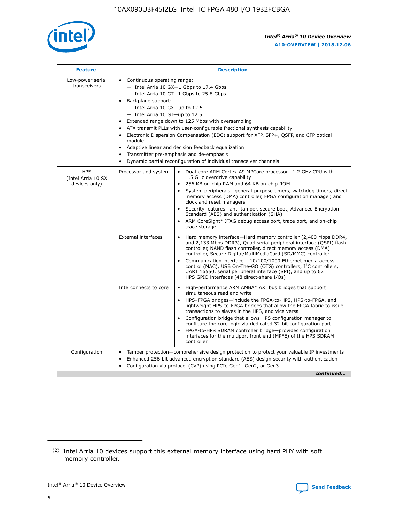

| <b>Feature</b>                                    | <b>Description</b>                                                                                                                                                                                                                                                                                                                                                                                                                                                                                                                                                                                                                             |  |  |  |  |  |  |  |
|---------------------------------------------------|------------------------------------------------------------------------------------------------------------------------------------------------------------------------------------------------------------------------------------------------------------------------------------------------------------------------------------------------------------------------------------------------------------------------------------------------------------------------------------------------------------------------------------------------------------------------------------------------------------------------------------------------|--|--|--|--|--|--|--|
| Low-power serial<br>transceivers                  | • Continuous operating range:<br>- Intel Arria 10 GX-1 Gbps to 17.4 Gbps<br>- Intel Arria 10 GT-1 Gbps to 25.8 Gbps<br>Backplane support:<br>$-$ Intel Arria 10 GX-up to 12.5<br>$-$ Intel Arria 10 GT-up to 12.5<br>Extended range down to 125 Mbps with oversampling<br>ATX transmit PLLs with user-configurable fractional synthesis capability<br>• Electronic Dispersion Compensation (EDC) support for XFP, SFP+, QSFP, and CFP optical<br>module<br>• Adaptive linear and decision feedback equalization<br>Transmitter pre-emphasis and de-emphasis<br>$\bullet$<br>Dynamic partial reconfiguration of individual transceiver channels |  |  |  |  |  |  |  |
| <b>HPS</b><br>(Intel Arria 10 SX<br>devices only) | Processor and system<br>Dual-core ARM Cortex-A9 MPCore processor-1.2 GHz CPU with<br>$\bullet$<br>1.5 GHz overdrive capability<br>256 KB on-chip RAM and 64 KB on-chip ROM<br>$\bullet$<br>System peripherals-general-purpose timers, watchdog timers, direct<br>memory access (DMA) controller, FPGA configuration manager, and<br>clock and reset managers<br>• Security features—anti-tamper, secure boot, Advanced Encryption<br>Standard (AES) and authentication (SHA)<br>ARM CoreSight* JTAG debug access port, trace port, and on-chip<br>trace storage                                                                                |  |  |  |  |  |  |  |
|                                                   | <b>External interfaces</b><br>Hard memory interface—Hard memory controller (2,400 Mbps DDR4,<br>$\bullet$<br>and 2,133 Mbps DDR3), Quad serial peripheral interface (QSPI) flash<br>controller, NAND flash controller, direct memory access (DMA)<br>controller, Secure Digital/MultiMediaCard (SD/MMC) controller<br>Communication interface-10/100/1000 Ethernet media access<br>control (MAC), USB On-The-GO (OTG) controllers, I <sup>2</sup> C controllers,<br>UART 16550, serial peripheral interface (SPI), and up to 62<br>HPS GPIO interfaces (48 direct-share I/Os)                                                                  |  |  |  |  |  |  |  |
|                                                   | High-performance ARM AMBA* AXI bus bridges that support<br>Interconnects to core<br>$\bullet$<br>simultaneous read and write<br>HPS-FPGA bridges—include the FPGA-to-HPS, HPS-to-FPGA, and<br>$\bullet$<br>lightweight HPS-to-FPGA bridges that allow the FPGA fabric to issue<br>transactions to slaves in the HPS, and vice versa<br>Configuration bridge that allows HPS configuration manager to<br>configure the core logic via dedicated 32-bit configuration port<br>FPGA-to-HPS SDRAM controller bridge-provides configuration<br>interfaces for the multiport front end (MPFE) of the HPS SDRAM<br>controller                         |  |  |  |  |  |  |  |
| Configuration                                     | Tamper protection—comprehensive design protection to protect your valuable IP investments<br>Enhanced 256-bit advanced encryption standard (AES) design security with authentication<br>$\bullet$<br>Configuration via protocol (CvP) using PCIe Gen1, Gen2, or Gen3<br>continued                                                                                                                                                                                                                                                                                                                                                              |  |  |  |  |  |  |  |

<sup>(2)</sup> Intel Arria 10 devices support this external memory interface using hard PHY with soft memory controller.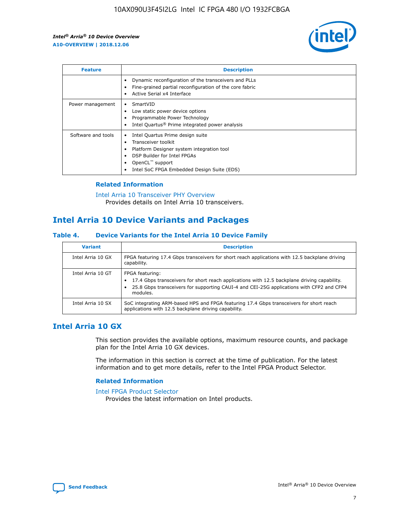

| <b>Feature</b>     | <b>Description</b>                                                                                                                                                                                                    |
|--------------------|-----------------------------------------------------------------------------------------------------------------------------------------------------------------------------------------------------------------------|
|                    | Dynamic reconfiguration of the transceivers and PLLs<br>Fine-grained partial reconfiguration of the core fabric<br>Active Serial x4 Interface                                                                         |
| Power management   | SmartVID<br>Low static power device options<br>Programmable Power Technology<br>Intel Quartus <sup>®</sup> Prime integrated power analysis                                                                            |
| Software and tools | Intel Quartus Prime design suite<br>Transceiver toolkit<br>٠<br>Platform Designer system integration tool<br>DSP Builder for Intel FPGAs<br>OpenCL <sup>™</sup> support<br>Intel SoC FPGA Embedded Design Suite (EDS) |

#### **Related Information**

[Intel Arria 10 Transceiver PHY Overview](https://www.intel.com/content/www/us/en/programmable/documentation/nik1398707230472.html#nik1398706768037) Provides details on Intel Arria 10 transceivers.

## **Intel Arria 10 Device Variants and Packages**

#### **Table 4. Device Variants for the Intel Arria 10 Device Family**

| <b>Variant</b>    | <b>Description</b>                                                                                                                                                                                                     |
|-------------------|------------------------------------------------------------------------------------------------------------------------------------------------------------------------------------------------------------------------|
| Intel Arria 10 GX | FPGA featuring 17.4 Gbps transceivers for short reach applications with 12.5 backplane driving<br>capability.                                                                                                          |
| Intel Arria 10 GT | FPGA featuring:<br>17.4 Gbps transceivers for short reach applications with 12.5 backplane driving capability.<br>25.8 Gbps transceivers for supporting CAUI-4 and CEI-25G applications with CFP2 and CFP4<br>modules. |
| Intel Arria 10 SX | SoC integrating ARM-based HPS and FPGA featuring 17.4 Gbps transceivers for short reach<br>applications with 12.5 backplane driving capability.                                                                        |

## **Intel Arria 10 GX**

This section provides the available options, maximum resource counts, and package plan for the Intel Arria 10 GX devices.

The information in this section is correct at the time of publication. For the latest information and to get more details, refer to the Intel FPGA Product Selector.

#### **Related Information**

#### [Intel FPGA Product Selector](http://www.altera.com/products/selector/psg-selector.html) Provides the latest information on Intel products.

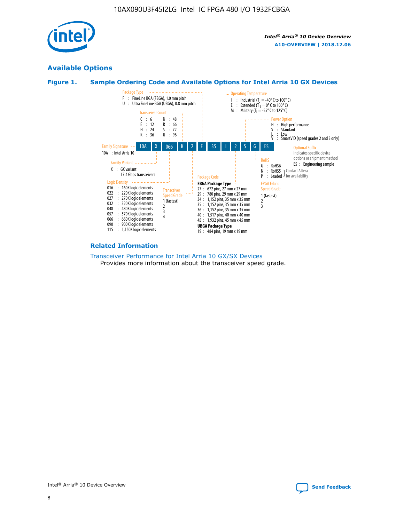

## **Available Options**





#### **Related Information**

[Transceiver Performance for Intel Arria 10 GX/SX Devices](https://www.intel.com/content/www/us/en/programmable/documentation/mcn1413182292568.html#mcn1413213965502) Provides more information about the transceiver speed grade.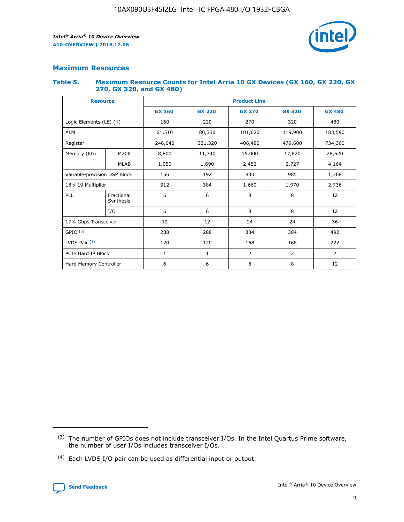

## **Maximum Resources**

#### **Table 5. Maximum Resource Counts for Intel Arria 10 GX Devices (GX 160, GX 220, GX 270, GX 320, and GX 480)**

| <b>Resource</b>              |                         | <b>Product Line</b> |                                                 |                    |                |                |  |  |  |
|------------------------------|-------------------------|---------------------|-------------------------------------------------|--------------------|----------------|----------------|--|--|--|
|                              |                         | <b>GX 160</b>       | <b>GX 220</b><br><b>GX 270</b><br><b>GX 320</b> |                    |                | <b>GX 480</b>  |  |  |  |
| Logic Elements (LE) (K)      |                         | 160                 | 220                                             | 270                | 320            | 480            |  |  |  |
| <b>ALM</b>                   |                         | 61,510              | 80,330                                          | 101,620            | 119,900        | 183,590        |  |  |  |
| Register                     |                         | 246,040             | 321,320                                         | 406,480<br>479,600 |                | 734,360        |  |  |  |
| Memory (Kb)                  | M <sub>20</sub> K       | 8,800               | 11,740                                          | 15,000<br>17,820   |                | 28,620         |  |  |  |
|                              | <b>MLAB</b>             | 1,050               | 1,690                                           | 2,452              | 2,727          | 4,164          |  |  |  |
| Variable-precision DSP Block |                         | 156                 | 192                                             | 830                | 985            | 1,368          |  |  |  |
| 18 x 19 Multiplier           |                         | 312                 | 384                                             | 1,660<br>1,970     |                | 2,736          |  |  |  |
| PLL                          | Fractional<br>Synthesis | 6                   | 6                                               | 8                  | 8              | 12             |  |  |  |
|                              | I/O                     | 6                   | 6                                               | 8                  | 8              | 12             |  |  |  |
| 17.4 Gbps Transceiver        |                         | 12                  | 12                                              | 24                 | 24             | 36             |  |  |  |
| GPIO <sup>(3)</sup>          |                         | 288                 | 288                                             | 384                | 384            |                |  |  |  |
| LVDS Pair $(4)$              |                         | 120                 | 120                                             | 168                | 168            | 222            |  |  |  |
| PCIe Hard IP Block           |                         | $\mathbf{1}$        | 1                                               | $\overline{2}$     | $\overline{2}$ | $\overline{2}$ |  |  |  |
| Hard Memory Controller       |                         | 6                   | 6                                               | 8                  | 8              | 12             |  |  |  |

<sup>(4)</sup> Each LVDS I/O pair can be used as differential input or output.



<sup>(3)</sup> The number of GPIOs does not include transceiver I/Os. In the Intel Quartus Prime software, the number of user I/Os includes transceiver I/Os.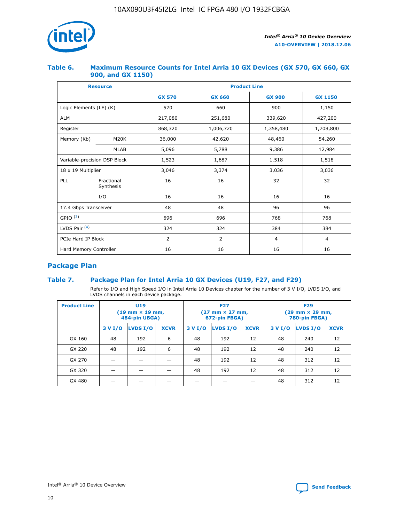

#### **Table 6. Maximum Resource Counts for Intel Arria 10 GX Devices (GX 570, GX 660, GX 900, and GX 1150)**

|                              | <b>Resource</b>         |               | <b>Product Line</b> |                |                |  |  |  |  |  |
|------------------------------|-------------------------|---------------|---------------------|----------------|----------------|--|--|--|--|--|
|                              |                         | <b>GX 570</b> | <b>GX 660</b>       | <b>GX 900</b>  | <b>GX 1150</b> |  |  |  |  |  |
| Logic Elements (LE) (K)      |                         | 570           | 660                 | 900            | 1,150          |  |  |  |  |  |
| <b>ALM</b>                   |                         | 217,080       | 251,680             | 339,620        | 427,200        |  |  |  |  |  |
| Register                     |                         | 868,320       | 1,006,720           |                | 1,708,800      |  |  |  |  |  |
| Memory (Kb)                  | <b>M20K</b>             | 36,000        | 42,620              | 48,460         | 54,260         |  |  |  |  |  |
|                              | <b>MLAB</b>             | 5,096         | 5,788               | 9,386          | 12,984         |  |  |  |  |  |
| Variable-precision DSP Block |                         | 1,523         | 1,687               | 1,518          | 1,518          |  |  |  |  |  |
| $18 \times 19$ Multiplier    |                         | 3,046         | 3,374               | 3,036          | 3,036          |  |  |  |  |  |
| PLL                          | Fractional<br>Synthesis | 16            | 16                  | 32             | 32             |  |  |  |  |  |
|                              | I/O                     | 16            | 16                  | 16             | 16             |  |  |  |  |  |
| 17.4 Gbps Transceiver        |                         | 48            | 96<br>48            |                | 96             |  |  |  |  |  |
| GPIO <sup>(3)</sup>          |                         | 696           | 696                 | 768            | 768            |  |  |  |  |  |
| LVDS Pair $(4)$              |                         | 324           | 324<br>384          |                | 384            |  |  |  |  |  |
| PCIe Hard IP Block           |                         | 2             | 2                   | $\overline{4}$ | $\overline{4}$ |  |  |  |  |  |
| Hard Memory Controller       |                         | 16            | 16                  | 16             | 16             |  |  |  |  |  |

## **Package Plan**

#### **Table 7. Package Plan for Intel Arria 10 GX Devices (U19, F27, and F29)**

Refer to I/O and High Speed I/O in Intel Arria 10 Devices chapter for the number of 3 V I/O, LVDS I/O, and LVDS channels in each device package.

| <b>Product Line</b> | U <sub>19</sub><br>$(19 \text{ mm} \times 19 \text{ mm})$<br>484-pin UBGA) |          |             |         | <b>F27</b><br>(27 mm × 27 mm,<br>672-pin FBGA) |             | <b>F29</b><br>(29 mm × 29 mm,<br>780-pin FBGA) |          |             |  |
|---------------------|----------------------------------------------------------------------------|----------|-------------|---------|------------------------------------------------|-------------|------------------------------------------------|----------|-------------|--|
|                     | 3 V I/O                                                                    | LVDS I/O | <b>XCVR</b> | 3 V I/O | <b>LVDS I/O</b>                                | <b>XCVR</b> | 3 V I/O                                        | LVDS I/O | <b>XCVR</b> |  |
| GX 160              | 48                                                                         | 192      | 6           | 48      | 192                                            | 12          | 48                                             | 240      | 12          |  |
| GX 220              | 48                                                                         | 192      | 6           | 48      | 192                                            | 12          | 48                                             | 240      | 12          |  |
| GX 270              |                                                                            |          |             | 48      | 192                                            | 12          | 48                                             | 312      | 12          |  |
| GX 320              |                                                                            |          |             | 48      | 192                                            | 12          | 48                                             | 312      | 12          |  |
| GX 480              |                                                                            |          |             |         |                                                |             | 48                                             | 312      | 12          |  |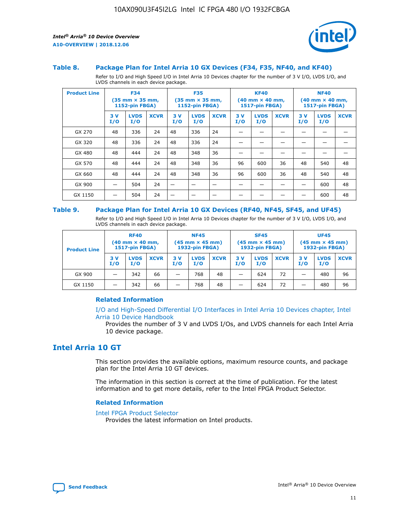



#### **Table 8. Package Plan for Intel Arria 10 GX Devices (F34, F35, NF40, and KF40)**

Refer to I/O and High Speed I/O in Intel Arria 10 Devices chapter for the number of 3 V I/O, LVDS I/O, and LVDS channels in each device package.

| <b>Product Line</b> | <b>F34</b><br>$(35 \text{ mm} \times 35 \text{ mm})$<br><b>1152-pin FBGA)</b> |                    | <b>F35</b><br>$(35 \text{ mm} \times 35 \text{ mm})$<br><b>1152-pin FBGA)</b> |           | <b>KF40</b><br>$(40$ mm $\times$ 40 mm,<br>1517-pin FBGA) |             |           | <b>NF40</b><br>$(40 \text{ mm} \times 40 \text{ mm})$<br>1517-pin FBGA) |             |           |                    |             |
|---------------------|-------------------------------------------------------------------------------|--------------------|-------------------------------------------------------------------------------|-----------|-----------------------------------------------------------|-------------|-----------|-------------------------------------------------------------------------|-------------|-----------|--------------------|-------------|
|                     | 3V<br>I/O                                                                     | <b>LVDS</b><br>I/O | <b>XCVR</b>                                                                   | 3V<br>I/O | <b>LVDS</b><br>I/O                                        | <b>XCVR</b> | 3V<br>I/O | <b>LVDS</b><br>I/O                                                      | <b>XCVR</b> | 3V<br>I/O | <b>LVDS</b><br>I/O | <b>XCVR</b> |
| GX 270              | 48                                                                            | 336                | 24                                                                            | 48        | 336                                                       | 24          |           |                                                                         |             |           |                    |             |
| GX 320              | 48                                                                            | 336                | 24                                                                            | 48        | 336                                                       | 24          |           |                                                                         |             |           |                    |             |
| GX 480              | 48                                                                            | 444                | 24                                                                            | 48        | 348                                                       | 36          |           |                                                                         |             |           |                    |             |
| GX 570              | 48                                                                            | 444                | 24                                                                            | 48        | 348                                                       | 36          | 96        | 600                                                                     | 36          | 48        | 540                | 48          |
| GX 660              | 48                                                                            | 444                | 24                                                                            | 48        | 348                                                       | 36          | 96        | 600                                                                     | 36          | 48        | 540                | 48          |
| GX 900              |                                                                               | 504                | 24                                                                            | –         |                                                           | -           |           |                                                                         |             |           | 600                | 48          |
| GX 1150             |                                                                               | 504                | 24                                                                            |           |                                                           |             |           |                                                                         |             |           | 600                | 48          |

#### **Table 9. Package Plan for Intel Arria 10 GX Devices (RF40, NF45, SF45, and UF45)**

Refer to I/O and High Speed I/O in Intel Arria 10 Devices chapter for the number of 3 V I/O, LVDS I/O, and LVDS channels in each device package.

| <b>Product Line</b> | <b>RF40</b><br>$(40$ mm $\times$ 40 mm,<br>1517-pin FBGA) |                    |             | <b>NF45</b><br>$(45 \text{ mm} \times 45 \text{ mm})$<br><b>1932-pin FBGA)</b> |                    |             | <b>SF45</b><br>$(45 \text{ mm} \times 45 \text{ mm})$<br><b>1932-pin FBGA)</b> |                    |             | <b>UF45</b><br>$(45 \text{ mm} \times 45 \text{ mm})$<br><b>1932-pin FBGA)</b> |                    |             |
|---------------------|-----------------------------------------------------------|--------------------|-------------|--------------------------------------------------------------------------------|--------------------|-------------|--------------------------------------------------------------------------------|--------------------|-------------|--------------------------------------------------------------------------------|--------------------|-------------|
|                     | 3V<br>I/O                                                 | <b>LVDS</b><br>I/O | <b>XCVR</b> | 3 V<br>I/O                                                                     | <b>LVDS</b><br>I/O | <b>XCVR</b> | 3 V<br>I/O                                                                     | <b>LVDS</b><br>I/O | <b>XCVR</b> | 3V<br>I/O                                                                      | <b>LVDS</b><br>I/O | <b>XCVR</b> |
| GX 900              |                                                           | 342                | 66          | _                                                                              | 768                | 48          |                                                                                | 624                | 72          |                                                                                | 480                | 96          |
| GX 1150             |                                                           | 342                | 66          | _                                                                              | 768                | 48          |                                                                                | 624                | 72          |                                                                                | 480                | 96          |

#### **Related Information**

[I/O and High-Speed Differential I/O Interfaces in Intel Arria 10 Devices chapter, Intel](https://www.intel.com/content/www/us/en/programmable/documentation/sam1403482614086.html#sam1403482030321) [Arria 10 Device Handbook](https://www.intel.com/content/www/us/en/programmable/documentation/sam1403482614086.html#sam1403482030321)

Provides the number of 3 V and LVDS I/Os, and LVDS channels for each Intel Arria 10 device package.

## **Intel Arria 10 GT**

This section provides the available options, maximum resource counts, and package plan for the Intel Arria 10 GT devices.

The information in this section is correct at the time of publication. For the latest information and to get more details, refer to the Intel FPGA Product Selector.

#### **Related Information**

#### [Intel FPGA Product Selector](http://www.altera.com/products/selector/psg-selector.html)

Provides the latest information on Intel products.

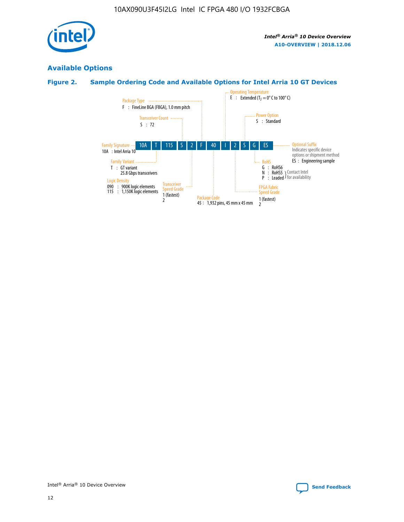

## **Available Options**

### **Figure 2. Sample Ordering Code and Available Options for Intel Arria 10 GT Devices**

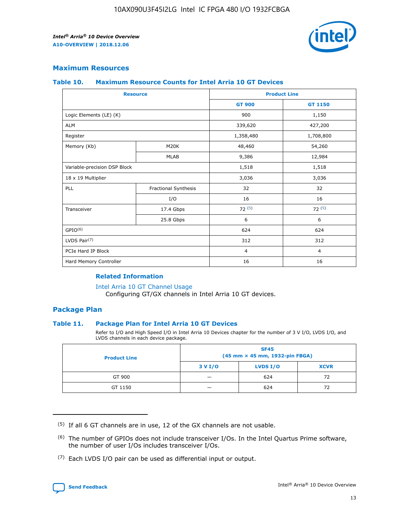

#### **Maximum Resources**

#### **Table 10. Maximum Resource Counts for Intel Arria 10 GT Devices**

| <b>Resource</b>              |                      | <b>Product Line</b> |                |  |
|------------------------------|----------------------|---------------------|----------------|--|
|                              |                      | <b>GT 900</b>       | <b>GT 1150</b> |  |
| Logic Elements (LE) (K)      |                      | 900                 | 1,150          |  |
| <b>ALM</b>                   |                      | 339,620             | 427,200        |  |
| Register                     |                      | 1,358,480           | 1,708,800      |  |
| Memory (Kb)                  | M20K                 | 48,460              | 54,260         |  |
|                              | <b>MLAB</b>          | 9,386               | 12,984         |  |
| Variable-precision DSP Block |                      | 1,518               | 1,518          |  |
| 18 x 19 Multiplier           |                      | 3,036               | 3,036          |  |
| PLL                          | Fractional Synthesis | 32                  | 32             |  |
|                              | I/O                  | 16                  | 16             |  |
| Transceiver                  | 17.4 Gbps            | 72(5)               | 72(5)          |  |
|                              | 25.8 Gbps            | 6                   | 6              |  |
| GPIO <sup>(6)</sup>          |                      | 624                 | 624            |  |
| LVDS Pair $(7)$              |                      | 312                 | 312            |  |
| PCIe Hard IP Block           |                      | $\overline{4}$      | $\overline{4}$ |  |
| Hard Memory Controller       |                      | 16                  | 16             |  |

#### **Related Information**

#### [Intel Arria 10 GT Channel Usage](https://www.intel.com/content/www/us/en/programmable/documentation/nik1398707230472.html#nik1398707008178)

Configuring GT/GX channels in Intel Arria 10 GT devices.

#### **Package Plan**

#### **Table 11. Package Plan for Intel Arria 10 GT Devices**

Refer to I/O and High Speed I/O in Intel Arria 10 Devices chapter for the number of 3 V I/O, LVDS I/O, and LVDS channels in each device package.

| <b>Product Line</b> | <b>SF45</b><br>(45 mm × 45 mm, 1932-pin FBGA) |                 |             |  |  |  |
|---------------------|-----------------------------------------------|-----------------|-------------|--|--|--|
|                     | 3 V I/O                                       | <b>LVDS I/O</b> | <b>XCVR</b> |  |  |  |
| GT 900              |                                               | 624             | 72          |  |  |  |
| GT 1150             |                                               | 624             | 72          |  |  |  |

<sup>(7)</sup> Each LVDS I/O pair can be used as differential input or output.



 $(5)$  If all 6 GT channels are in use, 12 of the GX channels are not usable.

<sup>(6)</sup> The number of GPIOs does not include transceiver I/Os. In the Intel Quartus Prime software, the number of user I/Os includes transceiver I/Os.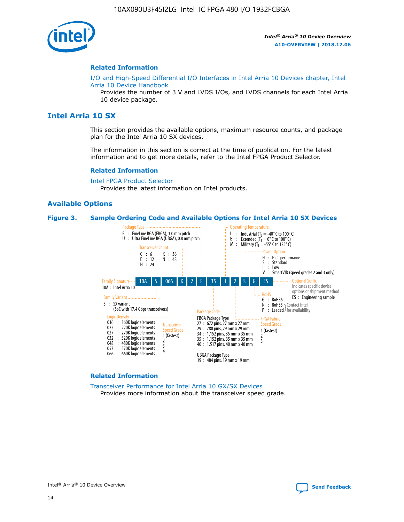

#### **Related Information**

[I/O and High-Speed Differential I/O Interfaces in Intel Arria 10 Devices chapter, Intel](https://www.intel.com/content/www/us/en/programmable/documentation/sam1403482614086.html#sam1403482030321) [Arria 10 Device Handbook](https://www.intel.com/content/www/us/en/programmable/documentation/sam1403482614086.html#sam1403482030321)

Provides the number of 3 V and LVDS I/Os, and LVDS channels for each Intel Arria 10 device package.

#### **Intel Arria 10 SX**

This section provides the available options, maximum resource counts, and package plan for the Intel Arria 10 SX devices.

The information in this section is correct at the time of publication. For the latest information and to get more details, refer to the Intel FPGA Product Selector.

#### **Related Information**

[Intel FPGA Product Selector](http://www.altera.com/products/selector/psg-selector.html) Provides the latest information on Intel products.

#### **Available Options**

#### **Figure 3. Sample Ordering Code and Available Options for Intel Arria 10 SX Devices**



#### **Related Information**

[Transceiver Performance for Intel Arria 10 GX/SX Devices](https://www.intel.com/content/www/us/en/programmable/documentation/mcn1413182292568.html#mcn1413213965502) Provides more information about the transceiver speed grade.



Intel<sup>®</sup> Arria<sup>®</sup> 10 Device Overview [Send Feedback](mailto:FPGAtechdocfeedback@intel.com?subject=Feedback%20on%20Intel%20Arria%2010%20Device%20Overview%20(A10-OVERVIEW%202018.12.06)&body=We%20appreciate%20your%20feedback.%20In%20your%20comments,%20also%20specify%20the%20page%20number%20or%20paragraph.%20Thank%20you.)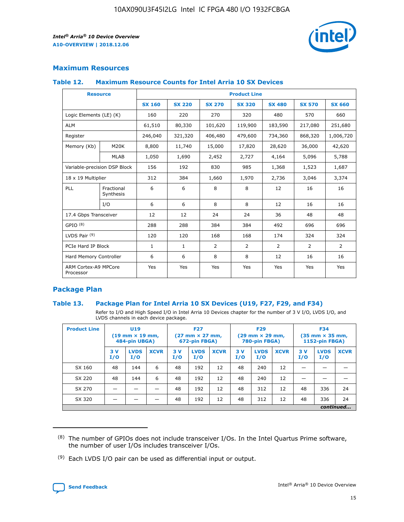

#### **Maximum Resources**

#### **Table 12. Maximum Resource Counts for Intel Arria 10 SX Devices**

| <b>Resource</b>                   |                         | <b>Product Line</b> |               |                |                |                |                |                |  |  |  |
|-----------------------------------|-------------------------|---------------------|---------------|----------------|----------------|----------------|----------------|----------------|--|--|--|
|                                   |                         | <b>SX 160</b>       | <b>SX 220</b> | <b>SX 270</b>  | <b>SX 320</b>  | <b>SX 480</b>  | <b>SX 570</b>  | <b>SX 660</b>  |  |  |  |
| Logic Elements (LE) (K)           |                         | 160                 | 220           | 270            | 320            | 480            | 570            | 660            |  |  |  |
| <b>ALM</b>                        |                         | 61,510              | 80,330        | 101,620        | 119,900        | 183,590        | 217,080        | 251,680        |  |  |  |
| Register                          |                         | 246,040             | 321,320       | 406,480        | 479,600        | 734,360        | 868,320        | 1,006,720      |  |  |  |
| Memory (Kb)                       | M <sub>20</sub> K       | 8,800               | 11,740        | 15,000         | 17,820         | 28,620         | 36,000         | 42,620         |  |  |  |
|                                   | <b>MLAB</b>             | 1,050               | 1,690         | 2,452          | 2,727          | 4,164          | 5,096          | 5,788          |  |  |  |
| Variable-precision DSP Block      |                         | 156                 | 192           | 830            | 985            | 1,368          | 1,523          | 1,687          |  |  |  |
| 18 x 19 Multiplier                |                         | 312                 | 384           | 1,660          | 1,970          | 2,736          | 3,046          | 3,374          |  |  |  |
| PLL                               | Fractional<br>Synthesis | 6                   | 6             | 8              | 8              | 12             | 16             | 16             |  |  |  |
|                                   | I/O                     | 6                   | 6             | 8              | 8              | 12             | 16             | 16             |  |  |  |
| 17.4 Gbps Transceiver             |                         | 12                  | 12            | 24             | 24             | 36             | 48             | 48             |  |  |  |
| GPIO <sup>(8)</sup>               |                         | 288                 | 288           | 384            | 384            | 492            | 696            | 696            |  |  |  |
| LVDS Pair $(9)$                   |                         | 120                 | 120           | 168            | 168            | 174            | 324            | 324            |  |  |  |
| PCIe Hard IP Block                |                         | $\mathbf{1}$        | $\mathbf{1}$  | $\overline{2}$ | $\overline{2}$ | $\overline{2}$ | $\overline{2}$ | $\overline{2}$ |  |  |  |
| Hard Memory Controller            |                         | 6                   | 6             | 8              | 8              | 12             | 16             | 16             |  |  |  |
| ARM Cortex-A9 MPCore<br>Processor |                         | Yes                 | Yes           | Yes            | Yes            | Yes            | Yes            | <b>Yes</b>     |  |  |  |

#### **Package Plan**

#### **Table 13. Package Plan for Intel Arria 10 SX Devices (U19, F27, F29, and F34)**

Refer to I/O and High Speed I/O in Intel Arria 10 Devices chapter for the number of 3 V I/O, LVDS I/O, and LVDS channels in each device package.

| <b>Product Line</b> | U19<br>$(19 \text{ mm} \times 19 \text{ mm})$<br>484-pin UBGA) |                    |             | <b>F27</b><br>$(27 \text{ mm} \times 27 \text{ mm})$ .<br>672-pin FBGA) |                    | <b>F29</b><br>$(29 \text{ mm} \times 29 \text{ mm})$ .<br>780-pin FBGA) |            |                    | <b>F34</b><br>$(35 \text{ mm} \times 35 \text{ mm})$<br><b>1152-pin FBGA)</b> |           |                    |             |
|---------------------|----------------------------------------------------------------|--------------------|-------------|-------------------------------------------------------------------------|--------------------|-------------------------------------------------------------------------|------------|--------------------|-------------------------------------------------------------------------------|-----------|--------------------|-------------|
|                     | 3V<br>I/O                                                      | <b>LVDS</b><br>I/O | <b>XCVR</b> | 3V<br>I/O                                                               | <b>LVDS</b><br>I/O | <b>XCVR</b>                                                             | 3 V<br>I/O | <b>LVDS</b><br>I/O | <b>XCVR</b>                                                                   | 3V<br>I/O | <b>LVDS</b><br>I/O | <b>XCVR</b> |
| SX 160              | 48                                                             | 144                | 6           | 48                                                                      | 192                | 12                                                                      | 48         | 240                | 12                                                                            |           |                    |             |
| SX 220              | 48                                                             | 144                | 6           | 48                                                                      | 192                | 12                                                                      | 48         | 240                | 12                                                                            |           |                    |             |
| SX 270              |                                                                |                    |             | 48                                                                      | 192                | 12                                                                      | 48         | 312                | 12                                                                            | 48        | 336                | 24          |
| SX 320              |                                                                |                    |             | 48                                                                      | 192                | 12                                                                      | 48         | 312                | 12                                                                            | 48        | 336                | 24          |
|                     |                                                                | continued          |             |                                                                         |                    |                                                                         |            |                    |                                                                               |           |                    |             |

 $(8)$  The number of GPIOs does not include transceiver I/Os. In the Intel Quartus Prime software, the number of user I/Os includes transceiver I/Os.

 $(9)$  Each LVDS I/O pair can be used as differential input or output.

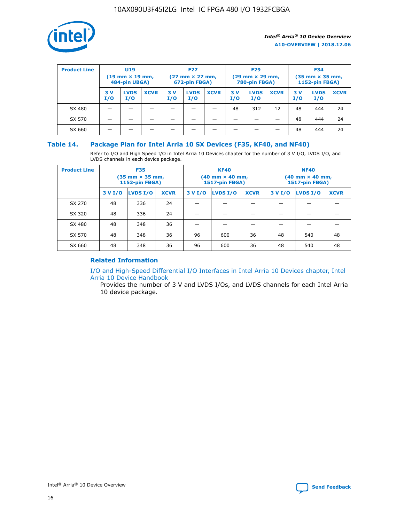

| <b>Product Line</b> | U <sub>19</sub><br>$(19 \text{ mm} \times 19 \text{ mm})$<br>484-pin UBGA) |                    | <b>F27</b><br>$(27 \text{ mm} \times 27 \text{ mm})$<br>672-pin FBGA) |           | <b>F29</b><br>$(29 \text{ mm} \times 29 \text{ mm})$<br>780-pin FBGA) |             |           | <b>F34</b><br>$(35$ mm $\times$ 35 mm,<br><b>1152-pin FBGA)</b> |             |           |                    |             |
|---------------------|----------------------------------------------------------------------------|--------------------|-----------------------------------------------------------------------|-----------|-----------------------------------------------------------------------|-------------|-----------|-----------------------------------------------------------------|-------------|-----------|--------------------|-------------|
|                     | 3V<br>I/O                                                                  | <b>LVDS</b><br>I/O | <b>XCVR</b>                                                           | 3V<br>I/O | <b>LVDS</b><br>I/O                                                    | <b>XCVR</b> | 3V<br>I/O | <b>LVDS</b><br>I/O                                              | <b>XCVR</b> | 3V<br>I/O | <b>LVDS</b><br>I/O | <b>XCVR</b> |
| SX 480              |                                                                            |                    |                                                                       |           |                                                                       |             | 48        | 312                                                             | 12          | 48        | 444                | 24          |
| SX 570              |                                                                            |                    |                                                                       |           |                                                                       |             |           |                                                                 |             | 48        | 444                | 24          |
| SX 660              |                                                                            |                    |                                                                       |           |                                                                       |             |           |                                                                 |             | 48        | 444                | 24          |

#### **Table 14. Package Plan for Intel Arria 10 SX Devices (F35, KF40, and NF40)**

Refer to I/O and High Speed I/O in Intel Arria 10 Devices chapter for the number of 3 V I/O, LVDS I/O, and LVDS channels in each device package.

| <b>Product Line</b> | <b>F35</b><br>(35 mm × 35 mm,<br><b>1152-pin FBGA)</b> |          |             |                                           | <b>KF40</b><br>(40 mm × 40 mm,<br>1517-pin FBGA) |    | <b>NF40</b><br>$(40 \text{ mm} \times 40 \text{ mm})$<br><b>1517-pin FBGA)</b> |          |             |  |
|---------------------|--------------------------------------------------------|----------|-------------|-------------------------------------------|--------------------------------------------------|----|--------------------------------------------------------------------------------|----------|-------------|--|
|                     | 3 V I/O                                                | LVDS I/O | <b>XCVR</b> | <b>LVDS I/O</b><br><b>XCVR</b><br>3 V I/O |                                                  |    | 3 V I/O                                                                        | LVDS I/O | <b>XCVR</b> |  |
| SX 270              | 48                                                     | 336      | 24          |                                           |                                                  |    |                                                                                |          |             |  |
| SX 320              | 48                                                     | 336      | 24          |                                           |                                                  |    |                                                                                |          |             |  |
| SX 480              | 48                                                     | 348      | 36          |                                           |                                                  |    |                                                                                |          |             |  |
| SX 570              | 48                                                     | 348      | 36          | 96<br>36<br>600                           |                                                  |    | 48                                                                             | 540      | 48          |  |
| SX 660              | 48                                                     | 348      | 36          | 96                                        | 600                                              | 36 | 48                                                                             | 540      | 48          |  |

#### **Related Information**

[I/O and High-Speed Differential I/O Interfaces in Intel Arria 10 Devices chapter, Intel](https://www.intel.com/content/www/us/en/programmable/documentation/sam1403482614086.html#sam1403482030321) [Arria 10 Device Handbook](https://www.intel.com/content/www/us/en/programmable/documentation/sam1403482614086.html#sam1403482030321)

Provides the number of 3 V and LVDS I/Os, and LVDS channels for each Intel Arria 10 device package.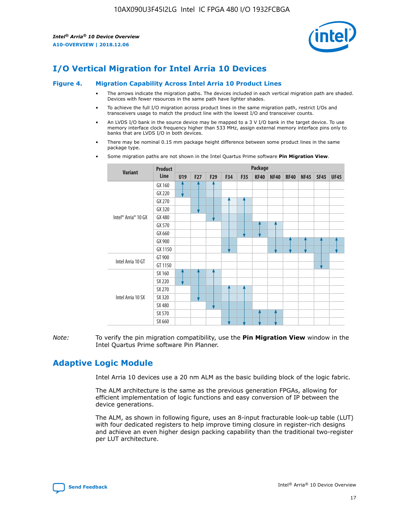

## **I/O Vertical Migration for Intel Arria 10 Devices**

#### **Figure 4. Migration Capability Across Intel Arria 10 Product Lines**

- The arrows indicate the migration paths. The devices included in each vertical migration path are shaded. Devices with fewer resources in the same path have lighter shades.
- To achieve the full I/O migration across product lines in the same migration path, restrict I/Os and transceivers usage to match the product line with the lowest I/O and transceiver counts.
- An LVDS I/O bank in the source device may be mapped to a 3 V I/O bank in the target device. To use memory interface clock frequency higher than 533 MHz, assign external memory interface pins only to banks that are LVDS I/O in both devices.
- There may be nominal 0.15 mm package height difference between some product lines in the same package type.
	- **Variant Product Line Package U19 F27 F29 F34 F35 KF40 NF40 RF40 NF45 SF45 UF45** Intel® Arria® 10 GX GX 160 GX 220 GX 270 GX 320 GX 480 GX 570 GX 660 GX 900 GX 1150 Intel Arria 10 GT GT 900 GT 1150 Intel Arria 10 SX SX 160 SX 220 SX 270 SX 320 SX 480 SX 570 SX 660
- Some migration paths are not shown in the Intel Quartus Prime software **Pin Migration View**.

*Note:* To verify the pin migration compatibility, use the **Pin Migration View** window in the Intel Quartus Prime software Pin Planner.

## **Adaptive Logic Module**

Intel Arria 10 devices use a 20 nm ALM as the basic building block of the logic fabric.

The ALM architecture is the same as the previous generation FPGAs, allowing for efficient implementation of logic functions and easy conversion of IP between the device generations.

The ALM, as shown in following figure, uses an 8-input fracturable look-up table (LUT) with four dedicated registers to help improve timing closure in register-rich designs and achieve an even higher design packing capability than the traditional two-register per LUT architecture.

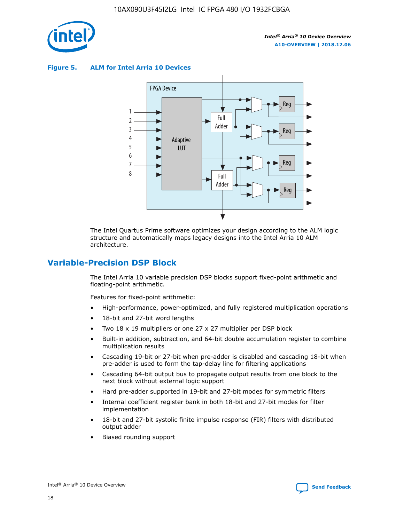

**Figure 5. ALM for Intel Arria 10 Devices**



The Intel Quartus Prime software optimizes your design according to the ALM logic structure and automatically maps legacy designs into the Intel Arria 10 ALM architecture.

## **Variable-Precision DSP Block**

The Intel Arria 10 variable precision DSP blocks support fixed-point arithmetic and floating-point arithmetic.

Features for fixed-point arithmetic:

- High-performance, power-optimized, and fully registered multiplication operations
- 18-bit and 27-bit word lengths
- Two 18 x 19 multipliers or one 27 x 27 multiplier per DSP block
- Built-in addition, subtraction, and 64-bit double accumulation register to combine multiplication results
- Cascading 19-bit or 27-bit when pre-adder is disabled and cascading 18-bit when pre-adder is used to form the tap-delay line for filtering applications
- Cascading 64-bit output bus to propagate output results from one block to the next block without external logic support
- Hard pre-adder supported in 19-bit and 27-bit modes for symmetric filters
- Internal coefficient register bank in both 18-bit and 27-bit modes for filter implementation
- 18-bit and 27-bit systolic finite impulse response (FIR) filters with distributed output adder
- Biased rounding support

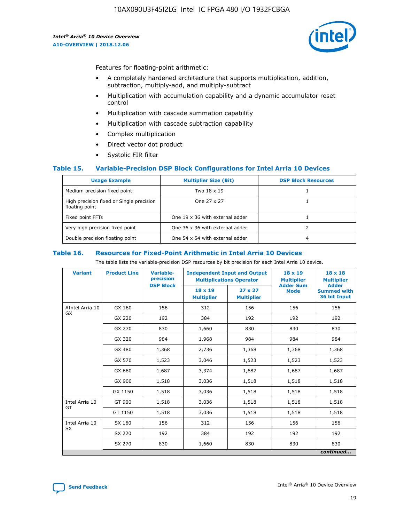

Features for floating-point arithmetic:

- A completely hardened architecture that supports multiplication, addition, subtraction, multiply-add, and multiply-subtract
- Multiplication with accumulation capability and a dynamic accumulator reset control
- Multiplication with cascade summation capability
- Multiplication with cascade subtraction capability
- Complex multiplication
- Direct vector dot product
- Systolic FIR filter

#### **Table 15. Variable-Precision DSP Block Configurations for Intel Arria 10 Devices**

| <b>Usage Example</b>                                       | <b>Multiplier Size (Bit)</b>    | <b>DSP Block Resources</b> |
|------------------------------------------------------------|---------------------------------|----------------------------|
| Medium precision fixed point                               | Two 18 x 19                     |                            |
| High precision fixed or Single precision<br>floating point | One 27 x 27                     |                            |
| Fixed point FFTs                                           | One 19 x 36 with external adder |                            |
| Very high precision fixed point                            | One 36 x 36 with external adder |                            |
| Double precision floating point                            | One 54 x 54 with external adder | 4                          |

#### **Table 16. Resources for Fixed-Point Arithmetic in Intel Arria 10 Devices**

The table lists the variable-precision DSP resources by bit precision for each Intel Arria 10 device.

| <b>Variant</b>        | <b>Product Line</b> | <b>Variable-</b><br>precision<br><b>DSP Block</b> | <b>Independent Input and Output</b><br><b>Multiplications Operator</b> |                                     | 18 x 19<br><b>Multiplier</b><br><b>Adder Sum</b> | $18 \times 18$<br><b>Multiplier</b><br><b>Adder</b> |
|-----------------------|---------------------|---------------------------------------------------|------------------------------------------------------------------------|-------------------------------------|--------------------------------------------------|-----------------------------------------------------|
|                       |                     |                                                   | 18 x 19<br><b>Multiplier</b>                                           | $27 \times 27$<br><b>Multiplier</b> | <b>Mode</b>                                      | <b>Summed with</b><br>36 bit Input                  |
| AIntel Arria 10<br>GX | GX 160              | 156                                               | 312                                                                    | 156                                 | 156                                              | 156                                                 |
|                       | GX 220              | 192                                               | 384                                                                    | 192                                 | 192                                              | 192                                                 |
|                       | GX 270              | 830                                               | 1,660                                                                  | 830                                 | 830                                              | 830                                                 |
|                       | GX 320              | 984                                               | 1,968                                                                  | 984                                 | 984                                              | 984                                                 |
|                       | GX 480              | 1,368                                             | 2,736                                                                  | 1,368                               | 1,368                                            | 1,368                                               |
|                       | GX 570              | 1,523                                             | 3,046                                                                  | 1,523                               | 1,523                                            | 1,523                                               |
|                       | GX 660              | 1,687                                             | 3,374                                                                  | 1,687                               | 1,687                                            | 1,687                                               |
|                       | GX 900              | 1,518                                             | 3,036                                                                  | 1,518                               | 1,518                                            | 1,518                                               |
|                       | GX 1150             | 1,518                                             | 3,036                                                                  | 1,518                               | 1,518                                            | 1,518                                               |
| Intel Arria 10        | GT 900              | 1,518                                             | 3,036                                                                  | 1,518                               | 1,518                                            | 1,518                                               |
| GT                    | GT 1150             | 1,518                                             | 3,036                                                                  | 1,518                               | 1,518                                            | 1,518                                               |
| Intel Arria 10        | SX 160              | 156                                               | 312                                                                    | 156                                 | 156                                              | 156                                                 |
| <b>SX</b>             | SX 220              | 192                                               | 384                                                                    | 192                                 | 192                                              | 192                                                 |
|                       | SX 270              | 830                                               | 1,660                                                                  | 830                                 | 830                                              | 830                                                 |
|                       |                     |                                                   |                                                                        |                                     |                                                  | continued                                           |

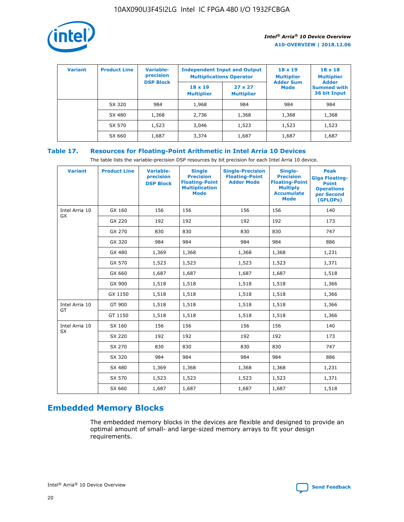

| <b>Variant</b> | <b>Product Line</b> | <b>Variable-</b><br>precision<br><b>DSP Block</b> | <b>Independent Input and Output</b><br><b>Multiplications Operator</b> |                                     | $18 \times 19$<br><b>Multiplier</b><br><b>Adder Sum</b> | $18 \times 18$<br><b>Multiplier</b><br><b>Adder</b> |  |
|----------------|---------------------|---------------------------------------------------|------------------------------------------------------------------------|-------------------------------------|---------------------------------------------------------|-----------------------------------------------------|--|
|                |                     |                                                   | $18 \times 19$<br><b>Multiplier</b>                                    | $27 \times 27$<br><b>Multiplier</b> | <b>Mode</b>                                             | <b>Summed with</b><br>36 bit Input                  |  |
|                | SX 320              | 984                                               | 1,968                                                                  | 984                                 | 984                                                     | 984                                                 |  |
|                | SX 480              | 1,368                                             | 2,736                                                                  | 1,368                               | 1,368                                                   | 1,368                                               |  |
|                | SX 570              | 1,523                                             | 3,046                                                                  | 1,523                               | 1,523                                                   | 1,523                                               |  |
|                | SX 660              | 1,687                                             | 3,374                                                                  | 1,687                               | 1,687                                                   | 1,687                                               |  |

## **Table 17. Resources for Floating-Point Arithmetic in Intel Arria 10 Devices**

The table lists the variable-precision DSP resources by bit precision for each Intel Arria 10 device.

| <b>Variant</b> | <b>Product Line</b> | <b>Variable-</b><br>precision<br><b>DSP Block</b> | <b>Single</b><br><b>Precision</b><br><b>Floating-Point</b><br><b>Multiplication</b><br><b>Mode</b> | <b>Single-Precision</b><br><b>Floating-Point</b><br><b>Adder Mode</b> | Single-<br><b>Precision</b><br><b>Floating-Point</b><br><b>Multiply</b><br><b>Accumulate</b><br><b>Mode</b> | <b>Peak</b><br><b>Giga Floating-</b><br><b>Point</b><br><b>Operations</b><br>per Second<br>(GFLOPs) |
|----------------|---------------------|---------------------------------------------------|----------------------------------------------------------------------------------------------------|-----------------------------------------------------------------------|-------------------------------------------------------------------------------------------------------------|-----------------------------------------------------------------------------------------------------|
| Intel Arria 10 | GX 160              | 156                                               | 156                                                                                                | 156                                                                   | 156                                                                                                         | 140                                                                                                 |
| GX             | GX 220              | 192                                               | 192                                                                                                | 192                                                                   | 192                                                                                                         | 173                                                                                                 |
|                | GX 270              | 830                                               | 830                                                                                                | 830                                                                   | 830                                                                                                         | 747                                                                                                 |
|                | GX 320              | 984                                               | 984                                                                                                | 984                                                                   | 984                                                                                                         | 886                                                                                                 |
|                | GX 480              | 1,369                                             | 1,368                                                                                              | 1,368                                                                 | 1,368                                                                                                       | 1,231                                                                                               |
|                | GX 570              | 1,523                                             | 1,523                                                                                              | 1,523                                                                 | 1,523                                                                                                       | 1,371                                                                                               |
|                | GX 660              | 1,687                                             | 1,687                                                                                              | 1,687                                                                 | 1,687                                                                                                       | 1,518                                                                                               |
|                | GX 900              | 1,518                                             | 1,518                                                                                              | 1,518                                                                 | 1,518                                                                                                       | 1,366                                                                                               |
|                | GX 1150             | 1,518                                             | 1,518                                                                                              | 1,518                                                                 | 1,518                                                                                                       | 1,366                                                                                               |
| Intel Arria 10 | GT 900              | 1,518                                             | 1,518                                                                                              | 1,518                                                                 | 1,518                                                                                                       | 1,366                                                                                               |
| GT             | GT 1150             | 1,518                                             | 1,518                                                                                              | 1,518                                                                 | 1,518                                                                                                       | 1,366                                                                                               |
| Intel Arria 10 | SX 160              | 156                                               | 156                                                                                                | 156                                                                   | 156                                                                                                         | 140                                                                                                 |
| <b>SX</b>      | SX 220              | 192                                               | 192                                                                                                | 192                                                                   | 192                                                                                                         | 173                                                                                                 |
|                | SX 270              | 830                                               | 830                                                                                                | 830                                                                   | 830                                                                                                         | 747                                                                                                 |
|                | SX 320              | 984                                               | 984                                                                                                | 984                                                                   | 984                                                                                                         | 886                                                                                                 |
|                | SX 480              | 1,369                                             | 1,368                                                                                              | 1,368                                                                 | 1,368                                                                                                       | 1,231                                                                                               |
|                | SX 570              | 1,523                                             | 1,523                                                                                              | 1,523                                                                 | 1,523                                                                                                       | 1,371                                                                                               |
|                | SX 660              | 1,687                                             | 1,687                                                                                              | 1,687                                                                 | 1,687                                                                                                       | 1,518                                                                                               |

## **Embedded Memory Blocks**

The embedded memory blocks in the devices are flexible and designed to provide an optimal amount of small- and large-sized memory arrays to fit your design requirements.

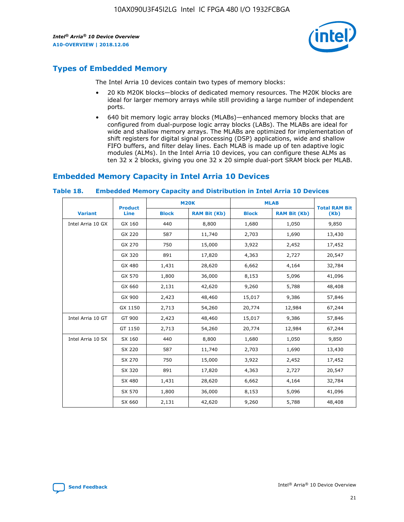

## **Types of Embedded Memory**

The Intel Arria 10 devices contain two types of memory blocks:

- 20 Kb M20K blocks—blocks of dedicated memory resources. The M20K blocks are ideal for larger memory arrays while still providing a large number of independent ports.
- 640 bit memory logic array blocks (MLABs)—enhanced memory blocks that are configured from dual-purpose logic array blocks (LABs). The MLABs are ideal for wide and shallow memory arrays. The MLABs are optimized for implementation of shift registers for digital signal processing (DSP) applications, wide and shallow FIFO buffers, and filter delay lines. Each MLAB is made up of ten adaptive logic modules (ALMs). In the Intel Arria 10 devices, you can configure these ALMs as ten 32 x 2 blocks, giving you one 32 x 20 simple dual-port SRAM block per MLAB.

## **Embedded Memory Capacity in Intel Arria 10 Devices**

|                   | <b>Product</b> |              | <b>M20K</b>         | <b>MLAB</b>  |                     | <b>Total RAM Bit</b> |
|-------------------|----------------|--------------|---------------------|--------------|---------------------|----------------------|
| <b>Variant</b>    | <b>Line</b>    | <b>Block</b> | <b>RAM Bit (Kb)</b> | <b>Block</b> | <b>RAM Bit (Kb)</b> | (Kb)                 |
| Intel Arria 10 GX | GX 160         | 440          | 8,800               | 1,680        | 1,050               | 9,850                |
|                   | GX 220         | 587          | 11,740              | 2,703        | 1,690               | 13,430               |
|                   | GX 270         | 750          | 15,000              | 3,922        | 2,452               | 17,452               |
|                   | GX 320         | 891          | 17,820              | 4,363        | 2,727               | 20,547               |
|                   | GX 480         | 1,431        | 28,620              | 6,662        | 4,164               | 32,784               |
|                   | GX 570         | 1,800        | 36,000              | 8,153        | 5,096               | 41,096               |
|                   | GX 660         | 2,131        | 42,620              | 9,260        | 5,788               | 48,408               |
|                   | GX 900         | 2,423        | 48,460              | 15,017       | 9,386               | 57,846               |
|                   | GX 1150        | 2,713        | 54,260              | 20,774       | 12,984              | 67,244               |
| Intel Arria 10 GT | GT 900         | 2,423        | 48,460              | 15,017       | 9,386               | 57,846               |
|                   | GT 1150        | 2,713        | 54,260              | 20,774       | 12,984              | 67,244               |
| Intel Arria 10 SX | SX 160         | 440          | 8,800               | 1,680        | 1,050               | 9,850                |
|                   | SX 220         | 587          | 11,740              | 2,703        | 1,690               | 13,430               |
|                   | SX 270         | 750          | 15,000              | 3,922        | 2,452               | 17,452               |
|                   | SX 320         | 891          | 17,820              | 4,363        | 2,727               | 20,547               |
|                   | SX 480         | 1,431        | 28,620              | 6,662        | 4,164               | 32,784               |
|                   | SX 570         | 1,800        | 36,000              | 8,153        | 5,096               | 41,096               |
|                   | SX 660         | 2,131        | 42,620              | 9,260        | 5,788               | 48,408               |

#### **Table 18. Embedded Memory Capacity and Distribution in Intel Arria 10 Devices**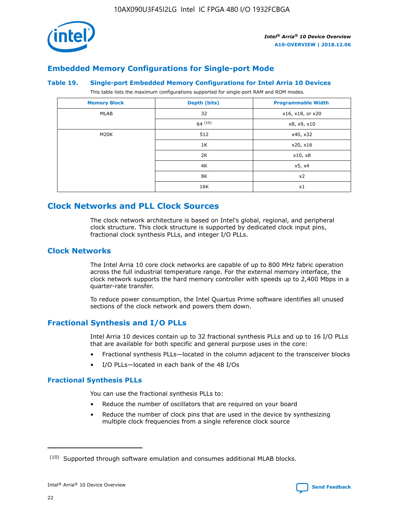

## **Embedded Memory Configurations for Single-port Mode**

#### **Table 19. Single-port Embedded Memory Configurations for Intel Arria 10 Devices**

This table lists the maximum configurations supported for single-port RAM and ROM modes.

| <b>Memory Block</b> | Depth (bits) | <b>Programmable Width</b> |
|---------------------|--------------|---------------------------|
| MLAB                | 32           | x16, x18, or x20          |
|                     | 64(10)       | x8, x9, x10               |
| M20K                | 512          | x40, x32                  |
|                     | 1K           | x20, x16                  |
|                     | 2K           | x10, x8                   |
|                     | 4K           | x5, x4                    |
|                     | 8K           | x2                        |
|                     | 16K          | x1                        |

## **Clock Networks and PLL Clock Sources**

The clock network architecture is based on Intel's global, regional, and peripheral clock structure. This clock structure is supported by dedicated clock input pins, fractional clock synthesis PLLs, and integer I/O PLLs.

#### **Clock Networks**

The Intel Arria 10 core clock networks are capable of up to 800 MHz fabric operation across the full industrial temperature range. For the external memory interface, the clock network supports the hard memory controller with speeds up to 2,400 Mbps in a quarter-rate transfer.

To reduce power consumption, the Intel Quartus Prime software identifies all unused sections of the clock network and powers them down.

#### **Fractional Synthesis and I/O PLLs**

Intel Arria 10 devices contain up to 32 fractional synthesis PLLs and up to 16 I/O PLLs that are available for both specific and general purpose uses in the core:

- Fractional synthesis PLLs—located in the column adjacent to the transceiver blocks
- I/O PLLs—located in each bank of the 48 I/Os

#### **Fractional Synthesis PLLs**

You can use the fractional synthesis PLLs to:

- Reduce the number of oscillators that are required on your board
- Reduce the number of clock pins that are used in the device by synthesizing multiple clock frequencies from a single reference clock source

<sup>(10)</sup> Supported through software emulation and consumes additional MLAB blocks.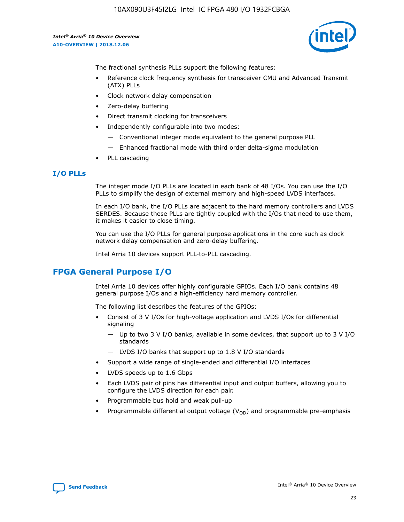

The fractional synthesis PLLs support the following features:

- Reference clock frequency synthesis for transceiver CMU and Advanced Transmit (ATX) PLLs
- Clock network delay compensation
- Zero-delay buffering
- Direct transmit clocking for transceivers
- Independently configurable into two modes:
	- Conventional integer mode equivalent to the general purpose PLL
	- Enhanced fractional mode with third order delta-sigma modulation
- PLL cascading

#### **I/O PLLs**

The integer mode I/O PLLs are located in each bank of 48 I/Os. You can use the I/O PLLs to simplify the design of external memory and high-speed LVDS interfaces.

In each I/O bank, the I/O PLLs are adjacent to the hard memory controllers and LVDS SERDES. Because these PLLs are tightly coupled with the I/Os that need to use them, it makes it easier to close timing.

You can use the I/O PLLs for general purpose applications in the core such as clock network delay compensation and zero-delay buffering.

Intel Arria 10 devices support PLL-to-PLL cascading.

## **FPGA General Purpose I/O**

Intel Arria 10 devices offer highly configurable GPIOs. Each I/O bank contains 48 general purpose I/Os and a high-efficiency hard memory controller.

The following list describes the features of the GPIOs:

- Consist of 3 V I/Os for high-voltage application and LVDS I/Os for differential signaling
	- Up to two 3 V I/O banks, available in some devices, that support up to 3 V I/O standards
	- LVDS I/O banks that support up to 1.8 V I/O standards
- Support a wide range of single-ended and differential I/O interfaces
- LVDS speeds up to 1.6 Gbps
- Each LVDS pair of pins has differential input and output buffers, allowing you to configure the LVDS direction for each pair.
- Programmable bus hold and weak pull-up
- Programmable differential output voltage  $(V_{OD})$  and programmable pre-emphasis

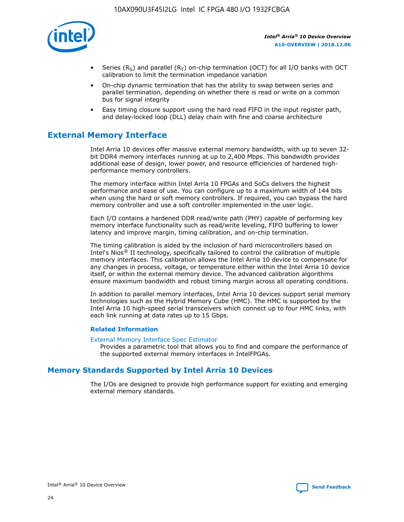

- Series (R<sub>S</sub>) and parallel (R<sub>T</sub>) on-chip termination (OCT) for all I/O banks with OCT calibration to limit the termination impedance variation
- On-chip dynamic termination that has the ability to swap between series and parallel termination, depending on whether there is read or write on a common bus for signal integrity
- Easy timing closure support using the hard read FIFO in the input register path, and delay-locked loop (DLL) delay chain with fine and coarse architecture

## **External Memory Interface**

Intel Arria 10 devices offer massive external memory bandwidth, with up to seven 32 bit DDR4 memory interfaces running at up to 2,400 Mbps. This bandwidth provides additional ease of design, lower power, and resource efficiencies of hardened highperformance memory controllers.

The memory interface within Intel Arria 10 FPGAs and SoCs delivers the highest performance and ease of use. You can configure up to a maximum width of 144 bits when using the hard or soft memory controllers. If required, you can bypass the hard memory controller and use a soft controller implemented in the user logic.

Each I/O contains a hardened DDR read/write path (PHY) capable of performing key memory interface functionality such as read/write leveling, FIFO buffering to lower latency and improve margin, timing calibration, and on-chip termination.

The timing calibration is aided by the inclusion of hard microcontrollers based on Intel's Nios® II technology, specifically tailored to control the calibration of multiple memory interfaces. This calibration allows the Intel Arria 10 device to compensate for any changes in process, voltage, or temperature either within the Intel Arria 10 device itself, or within the external memory device. The advanced calibration algorithms ensure maximum bandwidth and robust timing margin across all operating conditions.

In addition to parallel memory interfaces, Intel Arria 10 devices support serial memory technologies such as the Hybrid Memory Cube (HMC). The HMC is supported by the Intel Arria 10 high-speed serial transceivers which connect up to four HMC links, with each link running at data rates up to 15 Gbps.

#### **Related Information**

#### [External Memory Interface Spec Estimator](http://www.altera.com/technology/memory/estimator/mem-emif-index.html)

Provides a parametric tool that allows you to find and compare the performance of the supported external memory interfaces in IntelFPGAs.

## **Memory Standards Supported by Intel Arria 10 Devices**

The I/Os are designed to provide high performance support for existing and emerging external memory standards.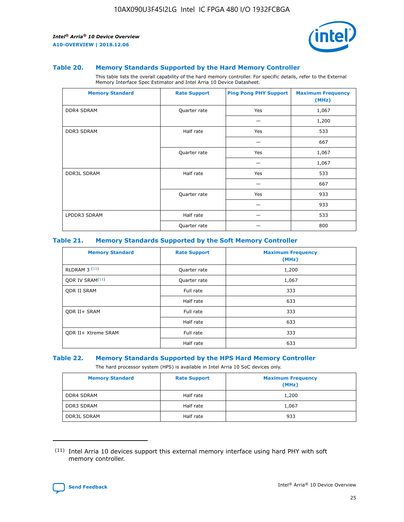

#### **Table 20. Memory Standards Supported by the Hard Memory Controller**

This table lists the overall capability of the hard memory controller. For specific details, refer to the External Memory Interface Spec Estimator and Intel Arria 10 Device Datasheet.

| <b>Memory Standard</b> | <b>Rate Support</b> | <b>Ping Pong PHY Support</b> | <b>Maximum Frequency</b><br>(MHz) |
|------------------------|---------------------|------------------------------|-----------------------------------|
| <b>DDR4 SDRAM</b>      | Quarter rate        | Yes                          | 1,067                             |
|                        |                     |                              | 1,200                             |
| DDR3 SDRAM             | Half rate           | Yes                          | 533                               |
|                        |                     |                              | 667                               |
|                        | Quarter rate        | Yes                          | 1,067                             |
|                        |                     |                              | 1,067                             |
| <b>DDR3L SDRAM</b>     | Half rate           | Yes                          | 533                               |
|                        |                     |                              | 667                               |
|                        | Quarter rate        | Yes                          | 933                               |
|                        |                     |                              | 933                               |
| LPDDR3 SDRAM           | Half rate           |                              | 533                               |
|                        | Quarter rate        |                              | 800                               |

#### **Table 21. Memory Standards Supported by the Soft Memory Controller**

| <b>Memory Standard</b>      | <b>Rate Support</b> | <b>Maximum Frequency</b><br>(MHz) |
|-----------------------------|---------------------|-----------------------------------|
| <b>RLDRAM 3 (11)</b>        | Quarter rate        | 1,200                             |
| ODR IV SRAM <sup>(11)</sup> | Quarter rate        | 1,067                             |
| <b>ODR II SRAM</b>          | Full rate           | 333                               |
|                             | Half rate           | 633                               |
| <b>ODR II+ SRAM</b>         | Full rate           | 333                               |
|                             | Half rate           | 633                               |
| <b>ODR II+ Xtreme SRAM</b>  | Full rate           | 333                               |
|                             | Half rate           | 633                               |

#### **Table 22. Memory Standards Supported by the HPS Hard Memory Controller**

The hard processor system (HPS) is available in Intel Arria 10 SoC devices only.

| <b>Memory Standard</b> | <b>Rate Support</b> | <b>Maximum Frequency</b><br>(MHz) |
|------------------------|---------------------|-----------------------------------|
| <b>DDR4 SDRAM</b>      | Half rate           | 1,200                             |
| DDR3 SDRAM             | Half rate           | 1,067                             |
| <b>DDR3L SDRAM</b>     | Half rate           | 933                               |

<sup>(11)</sup> Intel Arria 10 devices support this external memory interface using hard PHY with soft memory controller.

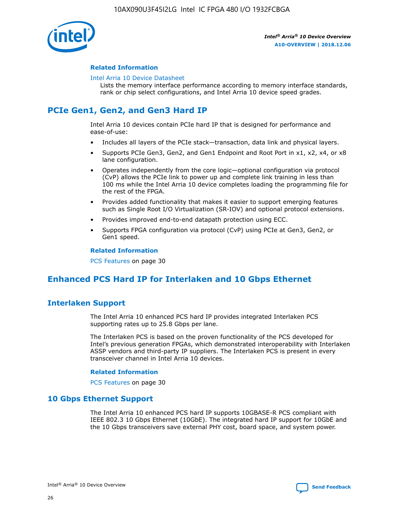

#### **Related Information**

#### [Intel Arria 10 Device Datasheet](https://www.intel.com/content/www/us/en/programmable/documentation/mcn1413182292568.html#mcn1413182153340)

Lists the memory interface performance according to memory interface standards, rank or chip select configurations, and Intel Arria 10 device speed grades.

## **PCIe Gen1, Gen2, and Gen3 Hard IP**

Intel Arria 10 devices contain PCIe hard IP that is designed for performance and ease-of-use:

- Includes all layers of the PCIe stack—transaction, data link and physical layers.
- Supports PCIe Gen3, Gen2, and Gen1 Endpoint and Root Port in x1, x2, x4, or x8 lane configuration.
- Operates independently from the core logic—optional configuration via protocol (CvP) allows the PCIe link to power up and complete link training in less than 100 ms while the Intel Arria 10 device completes loading the programming file for the rest of the FPGA.
- Provides added functionality that makes it easier to support emerging features such as Single Root I/O Virtualization (SR-IOV) and optional protocol extensions.
- Provides improved end-to-end datapath protection using ECC.
- Supports FPGA configuration via protocol (CvP) using PCIe at Gen3, Gen2, or Gen1 speed.

#### **Related Information**

PCS Features on page 30

## **Enhanced PCS Hard IP for Interlaken and 10 Gbps Ethernet**

## **Interlaken Support**

The Intel Arria 10 enhanced PCS hard IP provides integrated Interlaken PCS supporting rates up to 25.8 Gbps per lane.

The Interlaken PCS is based on the proven functionality of the PCS developed for Intel's previous generation FPGAs, which demonstrated interoperability with Interlaken ASSP vendors and third-party IP suppliers. The Interlaken PCS is present in every transceiver channel in Intel Arria 10 devices.

#### **Related Information**

PCS Features on page 30

#### **10 Gbps Ethernet Support**

The Intel Arria 10 enhanced PCS hard IP supports 10GBASE-R PCS compliant with IEEE 802.3 10 Gbps Ethernet (10GbE). The integrated hard IP support for 10GbE and the 10 Gbps transceivers save external PHY cost, board space, and system power.

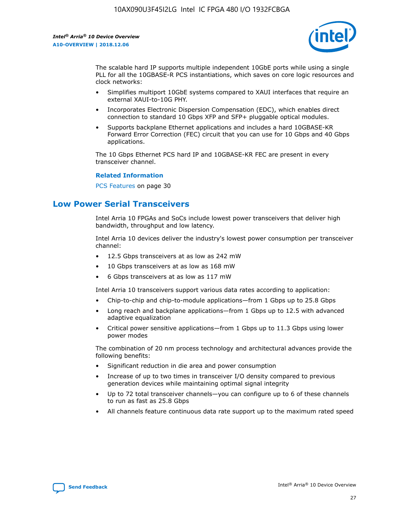

The scalable hard IP supports multiple independent 10GbE ports while using a single PLL for all the 10GBASE-R PCS instantiations, which saves on core logic resources and clock networks:

- Simplifies multiport 10GbE systems compared to XAUI interfaces that require an external XAUI-to-10G PHY.
- Incorporates Electronic Dispersion Compensation (EDC), which enables direct connection to standard 10 Gbps XFP and SFP+ pluggable optical modules.
- Supports backplane Ethernet applications and includes a hard 10GBASE-KR Forward Error Correction (FEC) circuit that you can use for 10 Gbps and 40 Gbps applications.

The 10 Gbps Ethernet PCS hard IP and 10GBASE-KR FEC are present in every transceiver channel.

#### **Related Information**

PCS Features on page 30

## **Low Power Serial Transceivers**

Intel Arria 10 FPGAs and SoCs include lowest power transceivers that deliver high bandwidth, throughput and low latency.

Intel Arria 10 devices deliver the industry's lowest power consumption per transceiver channel:

- 12.5 Gbps transceivers at as low as 242 mW
- 10 Gbps transceivers at as low as 168 mW
- 6 Gbps transceivers at as low as 117 mW

Intel Arria 10 transceivers support various data rates according to application:

- Chip-to-chip and chip-to-module applications—from 1 Gbps up to 25.8 Gbps
- Long reach and backplane applications—from 1 Gbps up to 12.5 with advanced adaptive equalization
- Critical power sensitive applications—from 1 Gbps up to 11.3 Gbps using lower power modes

The combination of 20 nm process technology and architectural advances provide the following benefits:

- Significant reduction in die area and power consumption
- Increase of up to two times in transceiver I/O density compared to previous generation devices while maintaining optimal signal integrity
- Up to 72 total transceiver channels—you can configure up to 6 of these channels to run as fast as 25.8 Gbps
- All channels feature continuous data rate support up to the maximum rated speed

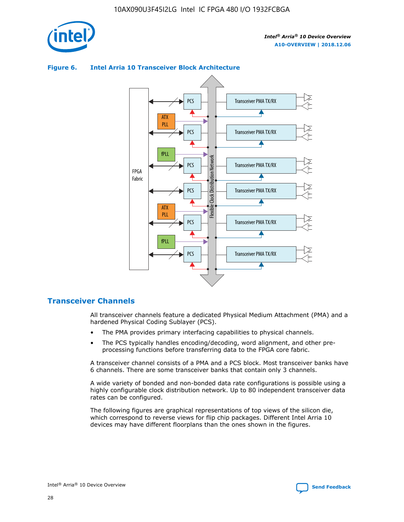

#### Transceiver PMA TX/RX PCS ATX PLL Transceiver PMA TX/RX PCS fPLL Network Flexible Clock Distribution Network PCS Transceiver PMA TX/RX FPGA **Clock Distribution** Fabric PCS Transceiver PMA TX/RX ATX Flexible PLL PCS Transceiver PMA TX/RX ▲ fPLL Transceiver PMA TX/RX PCS 4

#### **Figure 6. Intel Arria 10 Transceiver Block Architecture**

#### **Transceiver Channels**

All transceiver channels feature a dedicated Physical Medium Attachment (PMA) and a hardened Physical Coding Sublayer (PCS).

- The PMA provides primary interfacing capabilities to physical channels.
- The PCS typically handles encoding/decoding, word alignment, and other preprocessing functions before transferring data to the FPGA core fabric.

A transceiver channel consists of a PMA and a PCS block. Most transceiver banks have 6 channels. There are some transceiver banks that contain only 3 channels.

A wide variety of bonded and non-bonded data rate configurations is possible using a highly configurable clock distribution network. Up to 80 independent transceiver data rates can be configured.

The following figures are graphical representations of top views of the silicon die, which correspond to reverse views for flip chip packages. Different Intel Arria 10 devices may have different floorplans than the ones shown in the figures.

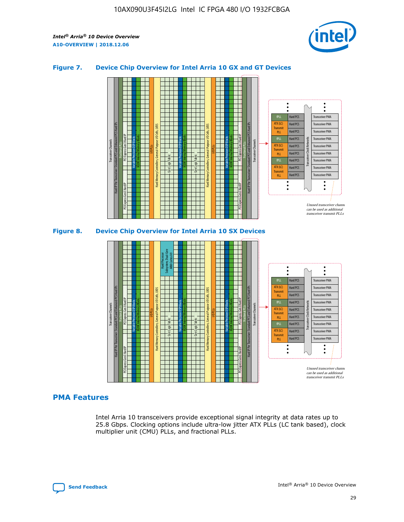

#### **Figure 7. Device Chip Overview for Intel Arria 10 GX and GT Devices**



M20K Internal Memory Blocks Core Logic Fabric Transceiver Channels Hard IP Per Transceiver: Standard PCS and Enhanced PCS Hard IPs PCI Express Gen3 Hard IP Fractional PLLs M20K Internal Memory Blocks PCI Express Gen3 Hard IP Variable Precision DSP Blocks I/O PLLs Hard Memory Controllers, General-Purpose I/O Cells, LVDS Hard Processor Subsystem, Dual-Core ARM Cortex A9 M20K Internal Memory Blocks Variable Precision DSP Blocks M20K Internal Memory Blocks Core Logic Fabric I/O PLLs Hard Memory Controllers, General-Purpose I/O Cells, LVDS M20K Internal Memory Blocks Variable Precision DSP Blocks M20K Internal Memory Blocks Transceiver Channels Hard IP Per Transceiver: Standard PCS and Enhanced PCS Hard IPs PCI Express Gen3 Hard IP Fractional PLLs PCI Express Gen3 Hard IP Hard PCS Hard PCS Hard PCS Hard PCS Hard PCS Hard PCS Hard PCS Hard PCS Hard PCS Transceiver PMA Transceiver PMA Transceiver PMA Transceiver PMA Transceiver PMA Transceiver PMA Transceiver PMA Unused transceiver chann can be used as additional Transceiver PMA Transceiver PMA Transceiver Clock Networks fPLL ATX (LC) **Transmit** PLL fPLL ATX (LC) Transmi PLL fPLL ATX (LC) **Transmit** PLL

**PMA Features**

Intel Arria 10 transceivers provide exceptional signal integrity at data rates up to 25.8 Gbps. Clocking options include ultra-low jitter ATX PLLs (LC tank based), clock multiplier unit (CMU) PLLs, and fractional PLLs.

transceiver transmit PLLs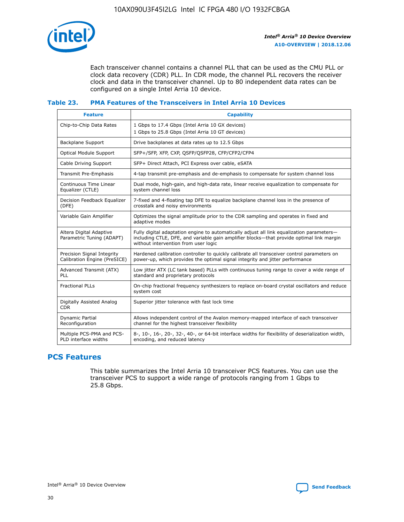

Each transceiver channel contains a channel PLL that can be used as the CMU PLL or clock data recovery (CDR) PLL. In CDR mode, the channel PLL recovers the receiver clock and data in the transceiver channel. Up to 80 independent data rates can be configured on a single Intel Arria 10 device.

#### **Table 23. PMA Features of the Transceivers in Intel Arria 10 Devices**

| <b>Feature</b>                                             | <b>Capability</b>                                                                                                                                                                                                             |
|------------------------------------------------------------|-------------------------------------------------------------------------------------------------------------------------------------------------------------------------------------------------------------------------------|
| Chip-to-Chip Data Rates                                    | 1 Gbps to 17.4 Gbps (Intel Arria 10 GX devices)<br>1 Gbps to 25.8 Gbps (Intel Arria 10 GT devices)                                                                                                                            |
| <b>Backplane Support</b>                                   | Drive backplanes at data rates up to 12.5 Gbps                                                                                                                                                                                |
| <b>Optical Module Support</b>                              | SFP+/SFP, XFP, CXP, QSFP/QSFP28, CFP/CFP2/CFP4                                                                                                                                                                                |
| Cable Driving Support                                      | SFP+ Direct Attach, PCI Express over cable, eSATA                                                                                                                                                                             |
| Transmit Pre-Emphasis                                      | 4-tap transmit pre-emphasis and de-emphasis to compensate for system channel loss                                                                                                                                             |
| Continuous Time Linear<br>Equalizer (CTLE)                 | Dual mode, high-gain, and high-data rate, linear receive equalization to compensate for<br>system channel loss                                                                                                                |
| Decision Feedback Equalizer<br>(DFE)                       | 7-fixed and 4-floating tap DFE to equalize backplane channel loss in the presence of<br>crosstalk and noisy environments                                                                                                      |
| Variable Gain Amplifier                                    | Optimizes the signal amplitude prior to the CDR sampling and operates in fixed and<br>adaptive modes                                                                                                                          |
| Altera Digital Adaptive<br>Parametric Tuning (ADAPT)       | Fully digital adaptation engine to automatically adjust all link equalization parameters-<br>including CTLE, DFE, and variable gain amplifier blocks—that provide optimal link margin<br>without intervention from user logic |
| Precision Signal Integrity<br>Calibration Engine (PreSICE) | Hardened calibration controller to quickly calibrate all transceiver control parameters on<br>power-up, which provides the optimal signal integrity and jitter performance                                                    |
| Advanced Transmit (ATX)<br><b>PLL</b>                      | Low jitter ATX (LC tank based) PLLs with continuous tuning range to cover a wide range of<br>standard and proprietary protocols                                                                                               |
| <b>Fractional PLLs</b>                                     | On-chip fractional frequency synthesizers to replace on-board crystal oscillators and reduce<br>system cost                                                                                                                   |
| Digitally Assisted Analog<br><b>CDR</b>                    | Superior jitter tolerance with fast lock time                                                                                                                                                                                 |
| Dynamic Partial<br>Reconfiguration                         | Allows independent control of the Avalon memory-mapped interface of each transceiver<br>channel for the highest transceiver flexibility                                                                                       |
| Multiple PCS-PMA and PCS-<br>PLD interface widths          | 8-, 10-, 16-, 20-, 32-, 40-, or 64-bit interface widths for flexibility of deserialization width,<br>encoding, and reduced latency                                                                                            |

## **PCS Features**

This table summarizes the Intel Arria 10 transceiver PCS features. You can use the transceiver PCS to support a wide range of protocols ranging from 1 Gbps to 25.8 Gbps.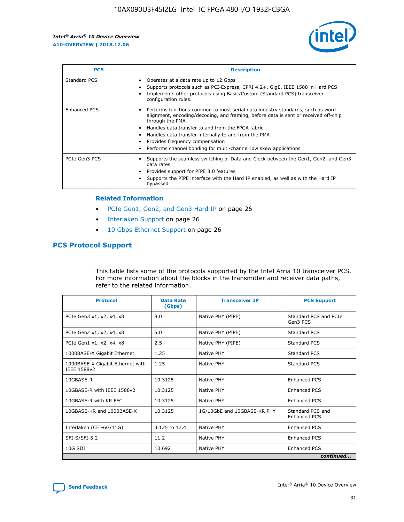

| <b>PCS</b>    | <b>Description</b>                                                                                                                                                                                                                                                                                                                                                                                             |
|---------------|----------------------------------------------------------------------------------------------------------------------------------------------------------------------------------------------------------------------------------------------------------------------------------------------------------------------------------------------------------------------------------------------------------------|
| Standard PCS  | Operates at a data rate up to 12 Gbps<br>Supports protocols such as PCI-Express, CPRI 4.2+, GigE, IEEE 1588 in Hard PCS<br>Implements other protocols using Basic/Custom (Standard PCS) transceiver<br>configuration rules.                                                                                                                                                                                    |
| Enhanced PCS  | Performs functions common to most serial data industry standards, such as word<br>alignment, encoding/decoding, and framing, before data is sent or received off-chip<br>through the PMA<br>• Handles data transfer to and from the FPGA fabric<br>Handles data transfer internally to and from the PMA<br>Provides frequency compensation<br>Performs channel bonding for multi-channel low skew applications |
| PCIe Gen3 PCS | Supports the seamless switching of Data and Clock between the Gen1, Gen2, and Gen3<br>data rates<br>Provides support for PIPE 3.0 features<br>Supports the PIPE interface with the Hard IP enabled, as well as with the Hard IP<br>bypassed                                                                                                                                                                    |

#### **Related Information**

- PCIe Gen1, Gen2, and Gen3 Hard IP on page 26
- Interlaken Support on page 26
- 10 Gbps Ethernet Support on page 26

#### **PCS Protocol Support**

This table lists some of the protocols supported by the Intel Arria 10 transceiver PCS. For more information about the blocks in the transmitter and receiver data paths, refer to the related information.

| <b>Protocol</b>                                 | <b>Data Rate</b><br>(Gbps) | <b>Transceiver IP</b>       | <b>PCS Support</b>                      |
|-------------------------------------------------|----------------------------|-----------------------------|-----------------------------------------|
| PCIe Gen3 x1, x2, x4, x8                        | 8.0                        | Native PHY (PIPE)           | Standard PCS and PCIe<br>Gen3 PCS       |
| PCIe Gen2 x1, x2, x4, x8                        | 5.0                        | Native PHY (PIPE)           | <b>Standard PCS</b>                     |
| PCIe Gen1 x1, x2, x4, x8                        | 2.5                        | Native PHY (PIPE)           | Standard PCS                            |
| 1000BASE-X Gigabit Ethernet                     | 1.25                       | Native PHY                  | <b>Standard PCS</b>                     |
| 1000BASE-X Gigabit Ethernet with<br>IEEE 1588v2 | 1.25                       | Native PHY                  | Standard PCS                            |
| 10GBASE-R                                       | 10.3125                    | Native PHY                  | <b>Enhanced PCS</b>                     |
| 10GBASE-R with IEEE 1588v2                      | 10.3125                    | Native PHY                  | <b>Enhanced PCS</b>                     |
| 10GBASE-R with KR FEC                           | 10.3125                    | Native PHY                  | <b>Enhanced PCS</b>                     |
| 10GBASE-KR and 1000BASE-X                       | 10.3125                    | 1G/10GbE and 10GBASE-KR PHY | Standard PCS and<br><b>Enhanced PCS</b> |
| Interlaken (CEI-6G/11G)                         | 3.125 to 17.4              | Native PHY                  | <b>Enhanced PCS</b>                     |
| SFI-S/SFI-5.2                                   | 11.2                       | Native PHY                  | <b>Enhanced PCS</b>                     |
| 10G SDI                                         | 10.692                     | Native PHY                  | <b>Enhanced PCS</b>                     |
|                                                 |                            |                             | continued                               |

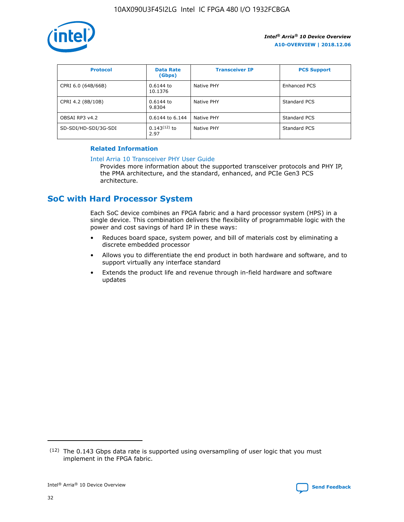

| <b>Protocol</b>      | <b>Data Rate</b><br>(Gbps) | <b>Transceiver IP</b> | <b>PCS Support</b> |
|----------------------|----------------------------|-----------------------|--------------------|
| CPRI 6.0 (64B/66B)   | 0.6144 to<br>10.1376       | Native PHY            | Enhanced PCS       |
| CPRI 4.2 (8B/10B)    | 0.6144 to<br>9.8304        | Native PHY            | Standard PCS       |
| OBSAI RP3 v4.2       | 0.6144 to 6.144            | Native PHY            | Standard PCS       |
| SD-SDI/HD-SDI/3G-SDI | $0.143(12)$ to<br>2.97     | Native PHY            | Standard PCS       |

#### **Related Information**

#### [Intel Arria 10 Transceiver PHY User Guide](https://www.intel.com/content/www/us/en/programmable/documentation/nik1398707230472.html#nik1398707091164)

Provides more information about the supported transceiver protocols and PHY IP, the PMA architecture, and the standard, enhanced, and PCIe Gen3 PCS architecture.

## **SoC with Hard Processor System**

Each SoC device combines an FPGA fabric and a hard processor system (HPS) in a single device. This combination delivers the flexibility of programmable logic with the power and cost savings of hard IP in these ways:

- Reduces board space, system power, and bill of materials cost by eliminating a discrete embedded processor
- Allows you to differentiate the end product in both hardware and software, and to support virtually any interface standard
- Extends the product life and revenue through in-field hardware and software updates

 $(12)$  The 0.143 Gbps data rate is supported using oversampling of user logic that you must implement in the FPGA fabric.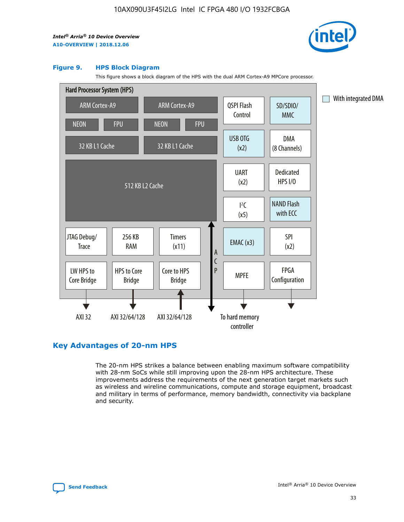

#### **Figure 9. HPS Block Diagram**

This figure shows a block diagram of the HPS with the dual ARM Cortex-A9 MPCore processor.



## **Key Advantages of 20-nm HPS**

The 20-nm HPS strikes a balance between enabling maximum software compatibility with 28-nm SoCs while still improving upon the 28-nm HPS architecture. These improvements address the requirements of the next generation target markets such as wireless and wireline communications, compute and storage equipment, broadcast and military in terms of performance, memory bandwidth, connectivity via backplane and security.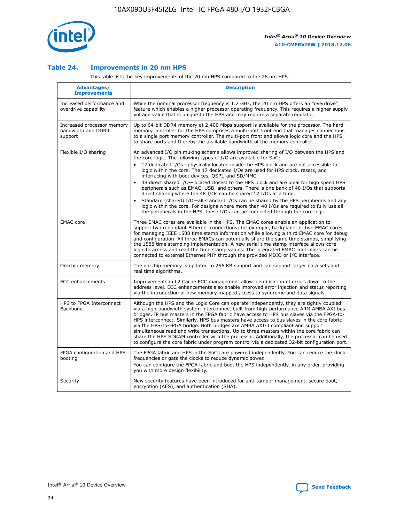

#### **Table 24. Improvements in 20 nm HPS**

This table lists the key improvements of the 20 nm HPS compared to the 28 nm HPS.

| Advantages/<br><b>Improvements</b>                          | <b>Description</b>                                                                                                                                                                                                                                                                                                                                                                                                                                                                                                                                                                                                                                                                                                                                                                                                                                                                                                                                |
|-------------------------------------------------------------|---------------------------------------------------------------------------------------------------------------------------------------------------------------------------------------------------------------------------------------------------------------------------------------------------------------------------------------------------------------------------------------------------------------------------------------------------------------------------------------------------------------------------------------------------------------------------------------------------------------------------------------------------------------------------------------------------------------------------------------------------------------------------------------------------------------------------------------------------------------------------------------------------------------------------------------------------|
| Increased performance and<br>overdrive capability           | While the nominal processor frequency is 1.2 GHz, the 20 nm HPS offers an "overdrive"<br>feature which enables a higher processor operating frequency. This requires a higher supply<br>voltage value that is unique to the HPS and may require a separate regulator.                                                                                                                                                                                                                                                                                                                                                                                                                                                                                                                                                                                                                                                                             |
| Increased processor memory<br>bandwidth and DDR4<br>support | Up to 64-bit DDR4 memory at 2,400 Mbps support is available for the processor. The hard<br>memory controller for the HPS comprises a multi-port front end that manages connections<br>to a single port memory controller. The multi-port front end allows logic core and the HPS<br>to share ports and thereby the available bandwidth of the memory controller.                                                                                                                                                                                                                                                                                                                                                                                                                                                                                                                                                                                  |
| Flexible I/O sharing                                        | An advanced I/O pin muxing scheme allows improved sharing of I/O between the HPS and<br>the core logic. The following types of I/O are available for SoC:<br>17 dedicated I/Os-physically located inside the HPS block and are not accessible to<br>$\bullet$<br>logic within the core. The 17 dedicated I/Os are used for HPS clock, resets, and<br>interfacing with boot devices, QSPI, and SD/MMC.<br>48 direct shared I/O-located closest to the HPS block and are ideal for high speed HPS<br>$\bullet$<br>peripherals such as EMAC, USB, and others. There is one bank of 48 I/Os that supports<br>direct sharing where the 48 I/Os can be shared 12 I/Os at a time.<br>Standard (shared) I/O-all standard I/Os can be shared by the HPS peripherals and any<br>logic within the core. For designs where more than 48 I/Os are reguired to fully use all<br>the peripherals in the HPS, these I/Os can be connected through the core logic. |
| <b>EMAC</b> core                                            | Three EMAC cores are available in the HPS. The EMAC cores enable an application to<br>support two redundant Ethernet connections; for example, backplane, or two EMAC cores<br>for managing IEEE 1588 time stamp information while allowing a third EMAC core for debug<br>and configuration. All three EMACs can potentially share the same time stamps, simplifying<br>the 1588 time stamping implementation. A new serial time stamp interface allows core<br>logic to access and read the time stamp values. The integrated EMAC controllers can be<br>connected to external Ethernet PHY through the provided MDIO or I <sup>2</sup> C interface.                                                                                                                                                                                                                                                                                            |
| On-chip memory                                              | The on-chip memory is updated to 256 KB support and can support larger data sets and<br>real time algorithms.                                                                                                                                                                                                                                                                                                                                                                                                                                                                                                                                                                                                                                                                                                                                                                                                                                     |
| <b>ECC</b> enhancements                                     | Improvements in L2 Cache ECC management allow identification of errors down to the<br>address level. ECC enhancements also enable improved error injection and status reporting<br>via the introduction of new memory mapped access to syndrome and data signals.                                                                                                                                                                                                                                                                                                                                                                                                                                                                                                                                                                                                                                                                                 |
| HPS to FPGA Interconnect<br>Backbone                        | Although the HPS and the Logic Core can operate independently, they are tightly coupled<br>via a high-bandwidth system interconnect built from high-performance ARM AMBA AXI bus<br>bridges. IP bus masters in the FPGA fabric have access to HPS bus slaves via the FPGA-to-<br>HPS interconnect. Similarly, HPS bus masters have access to bus slaves in the core fabric<br>via the HPS-to-FPGA bridge. Both bridges are AMBA AXI-3 compliant and support<br>simultaneous read and write transactions. Up to three masters within the core fabric can<br>share the HPS SDRAM controller with the processor. Additionally, the processor can be used<br>to configure the core fabric under program control via a dedicated 32-bit configuration port.                                                                                                                                                                                            |
| FPGA configuration and HPS<br>booting                       | The FPGA fabric and HPS in the SoCs are powered independently. You can reduce the clock<br>frequencies or gate the clocks to reduce dynamic power.<br>You can configure the FPGA fabric and boot the HPS independently, in any order, providing<br>you with more design flexibility.                                                                                                                                                                                                                                                                                                                                                                                                                                                                                                                                                                                                                                                              |
| Security                                                    | New security features have been introduced for anti-tamper management, secure boot,<br>encryption (AES), and authentication (SHA).                                                                                                                                                                                                                                                                                                                                                                                                                                                                                                                                                                                                                                                                                                                                                                                                                |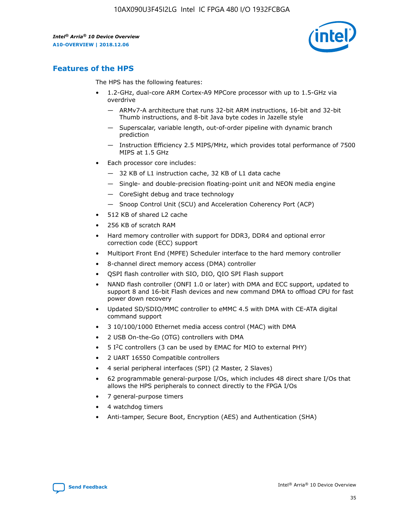

## **Features of the HPS**

The HPS has the following features:

- 1.2-GHz, dual-core ARM Cortex-A9 MPCore processor with up to 1.5-GHz via overdrive
	- ARMv7-A architecture that runs 32-bit ARM instructions, 16-bit and 32-bit Thumb instructions, and 8-bit Java byte codes in Jazelle style
	- Superscalar, variable length, out-of-order pipeline with dynamic branch prediction
	- Instruction Efficiency 2.5 MIPS/MHz, which provides total performance of 7500 MIPS at 1.5 GHz
- Each processor core includes:
	- 32 KB of L1 instruction cache, 32 KB of L1 data cache
	- Single- and double-precision floating-point unit and NEON media engine
	- CoreSight debug and trace technology
	- Snoop Control Unit (SCU) and Acceleration Coherency Port (ACP)
- 512 KB of shared L2 cache
- 256 KB of scratch RAM
- Hard memory controller with support for DDR3, DDR4 and optional error correction code (ECC) support
- Multiport Front End (MPFE) Scheduler interface to the hard memory controller
- 8-channel direct memory access (DMA) controller
- QSPI flash controller with SIO, DIO, QIO SPI Flash support
- NAND flash controller (ONFI 1.0 or later) with DMA and ECC support, updated to support 8 and 16-bit Flash devices and new command DMA to offload CPU for fast power down recovery
- Updated SD/SDIO/MMC controller to eMMC 4.5 with DMA with CE-ATA digital command support
- 3 10/100/1000 Ethernet media access control (MAC) with DMA
- 2 USB On-the-Go (OTG) controllers with DMA
- $\bullet$  5 I<sup>2</sup>C controllers (3 can be used by EMAC for MIO to external PHY)
- 2 UART 16550 Compatible controllers
- 4 serial peripheral interfaces (SPI) (2 Master, 2 Slaves)
- 62 programmable general-purpose I/Os, which includes 48 direct share I/Os that allows the HPS peripherals to connect directly to the FPGA I/Os
- 7 general-purpose timers
- 4 watchdog timers
- Anti-tamper, Secure Boot, Encryption (AES) and Authentication (SHA)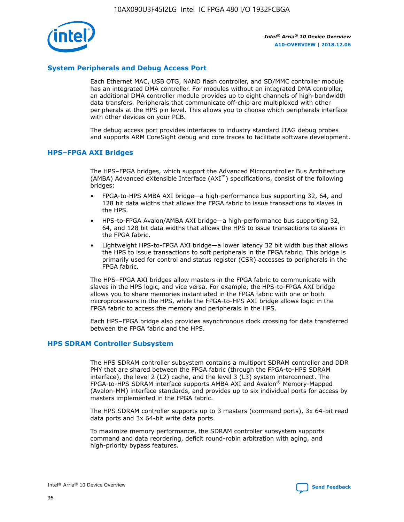

#### **System Peripherals and Debug Access Port**

Each Ethernet MAC, USB OTG, NAND flash controller, and SD/MMC controller module has an integrated DMA controller. For modules without an integrated DMA controller, an additional DMA controller module provides up to eight channels of high-bandwidth data transfers. Peripherals that communicate off-chip are multiplexed with other peripherals at the HPS pin level. This allows you to choose which peripherals interface with other devices on your PCB.

The debug access port provides interfaces to industry standard JTAG debug probes and supports ARM CoreSight debug and core traces to facilitate software development.

#### **HPS–FPGA AXI Bridges**

The HPS–FPGA bridges, which support the Advanced Microcontroller Bus Architecture (AMBA) Advanced eXtensible Interface (AXI™) specifications, consist of the following bridges:

- FPGA-to-HPS AMBA AXI bridge—a high-performance bus supporting 32, 64, and 128 bit data widths that allows the FPGA fabric to issue transactions to slaves in the HPS.
- HPS-to-FPGA Avalon/AMBA AXI bridge—a high-performance bus supporting 32, 64, and 128 bit data widths that allows the HPS to issue transactions to slaves in the FPGA fabric.
- Lightweight HPS-to-FPGA AXI bridge—a lower latency 32 bit width bus that allows the HPS to issue transactions to soft peripherals in the FPGA fabric. This bridge is primarily used for control and status register (CSR) accesses to peripherals in the FPGA fabric.

The HPS–FPGA AXI bridges allow masters in the FPGA fabric to communicate with slaves in the HPS logic, and vice versa. For example, the HPS-to-FPGA AXI bridge allows you to share memories instantiated in the FPGA fabric with one or both microprocessors in the HPS, while the FPGA-to-HPS AXI bridge allows logic in the FPGA fabric to access the memory and peripherals in the HPS.

Each HPS–FPGA bridge also provides asynchronous clock crossing for data transferred between the FPGA fabric and the HPS.

#### **HPS SDRAM Controller Subsystem**

The HPS SDRAM controller subsystem contains a multiport SDRAM controller and DDR PHY that are shared between the FPGA fabric (through the FPGA-to-HPS SDRAM interface), the level 2 (L2) cache, and the level 3 (L3) system interconnect. The FPGA-to-HPS SDRAM interface supports AMBA AXI and Avalon® Memory-Mapped (Avalon-MM) interface standards, and provides up to six individual ports for access by masters implemented in the FPGA fabric.

The HPS SDRAM controller supports up to 3 masters (command ports), 3x 64-bit read data ports and 3x 64-bit write data ports.

To maximize memory performance, the SDRAM controller subsystem supports command and data reordering, deficit round-robin arbitration with aging, and high-priority bypass features.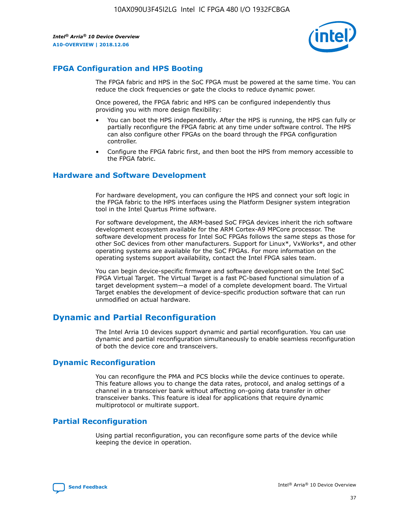

## **FPGA Configuration and HPS Booting**

The FPGA fabric and HPS in the SoC FPGA must be powered at the same time. You can reduce the clock frequencies or gate the clocks to reduce dynamic power.

Once powered, the FPGA fabric and HPS can be configured independently thus providing you with more design flexibility:

- You can boot the HPS independently. After the HPS is running, the HPS can fully or partially reconfigure the FPGA fabric at any time under software control. The HPS can also configure other FPGAs on the board through the FPGA configuration controller.
- Configure the FPGA fabric first, and then boot the HPS from memory accessible to the FPGA fabric.

#### **Hardware and Software Development**

For hardware development, you can configure the HPS and connect your soft logic in the FPGA fabric to the HPS interfaces using the Platform Designer system integration tool in the Intel Quartus Prime software.

For software development, the ARM-based SoC FPGA devices inherit the rich software development ecosystem available for the ARM Cortex-A9 MPCore processor. The software development process for Intel SoC FPGAs follows the same steps as those for other SoC devices from other manufacturers. Support for Linux\*, VxWorks\*, and other operating systems are available for the SoC FPGAs. For more information on the operating systems support availability, contact the Intel FPGA sales team.

You can begin device-specific firmware and software development on the Intel SoC FPGA Virtual Target. The Virtual Target is a fast PC-based functional simulation of a target development system—a model of a complete development board. The Virtual Target enables the development of device-specific production software that can run unmodified on actual hardware.

## **Dynamic and Partial Reconfiguration**

The Intel Arria 10 devices support dynamic and partial reconfiguration. You can use dynamic and partial reconfiguration simultaneously to enable seamless reconfiguration of both the device core and transceivers.

#### **Dynamic Reconfiguration**

You can reconfigure the PMA and PCS blocks while the device continues to operate. This feature allows you to change the data rates, protocol, and analog settings of a channel in a transceiver bank without affecting on-going data transfer in other transceiver banks. This feature is ideal for applications that require dynamic multiprotocol or multirate support.

## **Partial Reconfiguration**

Using partial reconfiguration, you can reconfigure some parts of the device while keeping the device in operation.

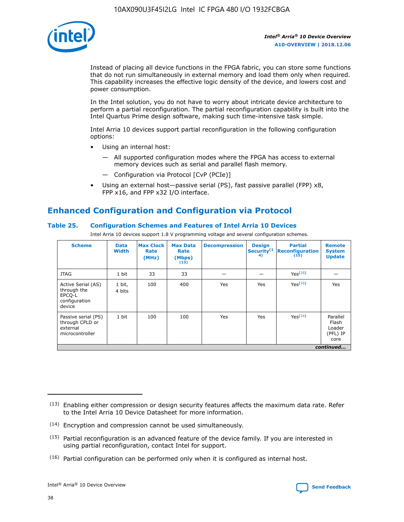

Instead of placing all device functions in the FPGA fabric, you can store some functions that do not run simultaneously in external memory and load them only when required. This capability increases the effective logic density of the device, and lowers cost and power consumption.

In the Intel solution, you do not have to worry about intricate device architecture to perform a partial reconfiguration. The partial reconfiguration capability is built into the Intel Quartus Prime design software, making such time-intensive task simple.

Intel Arria 10 devices support partial reconfiguration in the following configuration options:

- Using an internal host:
	- All supported configuration modes where the FPGA has access to external memory devices such as serial and parallel flash memory.
	- Configuration via Protocol [CvP (PCIe)]
- Using an external host—passive serial (PS), fast passive parallel (FPP) x8, FPP x16, and FPP x32 I/O interface.

## **Enhanced Configuration and Configuration via Protocol**

#### **Table 25. Configuration Schemes and Features of Intel Arria 10 Devices**

Intel Arria 10 devices support 1.8 V programming voltage and several configuration schemes.

| <b>Scheme</b>                                                          | <b>Data</b><br><b>Width</b> | <b>Max Clock</b><br>Rate<br>(MHz) | <b>Max Data</b><br>Rate<br>(Mbps)<br>(13) | <b>Decompression</b> | <b>Design</b><br>Security <sup>(1</sup><br>4) | <b>Partial</b><br>Reconfiguration<br>(15) | <b>Remote</b><br><b>System</b><br><b>Update</b> |
|------------------------------------------------------------------------|-----------------------------|-----------------------------------|-------------------------------------------|----------------------|-----------------------------------------------|-------------------------------------------|-------------------------------------------------|
| <b>JTAG</b>                                                            | 1 bit                       | 33                                | 33                                        |                      |                                               | Yes(16)                                   |                                                 |
| Active Serial (AS)<br>through the<br>EPCO-L<br>configuration<br>device | 1 bit,<br>4 bits            | 100                               | 400                                       | Yes                  | Yes                                           | Yes(16)                                   | Yes                                             |
| Passive serial (PS)<br>through CPLD or<br>external<br>microcontroller  | 1 bit                       | 100                               | 100                                       | Yes                  | Yes                                           | Yes <sup>(16)</sup>                       | Parallel<br>Flash<br>Loader<br>(PFL) IP<br>core |
|                                                                        |                             |                                   |                                           |                      |                                               |                                           | continued                                       |

<sup>(13)</sup> Enabling either compression or design security features affects the maximum data rate. Refer to the Intel Arria 10 Device Datasheet for more information.

<sup>(14)</sup> Encryption and compression cannot be used simultaneously.

 $(15)$  Partial reconfiguration is an advanced feature of the device family. If you are interested in using partial reconfiguration, contact Intel for support.

 $(16)$  Partial configuration can be performed only when it is configured as internal host.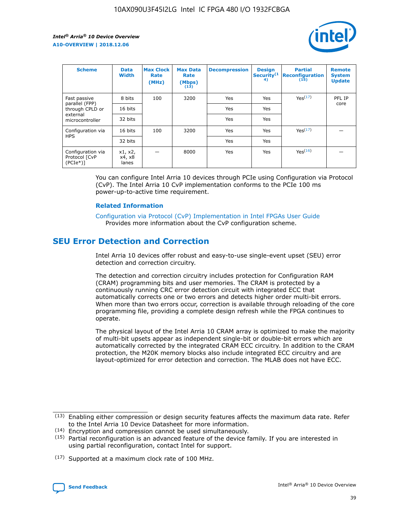

| <b>Scheme</b>                                    | <b>Data</b><br><b>Width</b> | <b>Max Clock</b><br>Rate<br>(MHz) | <b>Max Data</b><br>Rate<br>(Mbps)<br>(13) | <b>Decompression</b> | <b>Design</b><br>Security <sup>(1</sup><br>4) | <b>Partial</b><br><b>Reconfiguration</b><br>(15) | <b>Remote</b><br><b>System</b><br><b>Update</b> |
|--------------------------------------------------|-----------------------------|-----------------------------------|-------------------------------------------|----------------------|-----------------------------------------------|--------------------------------------------------|-------------------------------------------------|
| Fast passive                                     | 8 bits                      | 100                               | 3200                                      | <b>Yes</b>           | Yes                                           | Yes(17)                                          | PFL IP                                          |
| parallel (FPP)<br>through CPLD or                | 16 bits                     |                                   |                                           | Yes                  | Yes                                           |                                                  | core                                            |
| external<br>microcontroller                      | 32 bits                     |                                   |                                           | Yes                  | Yes                                           |                                                  |                                                 |
| Configuration via                                | 16 bits                     | 100                               | 3200                                      | Yes                  | Yes                                           | Yes <sup>(17)</sup>                              |                                                 |
| <b>HPS</b>                                       | 32 bits                     |                                   |                                           | Yes                  | Yes                                           |                                                  |                                                 |
| Configuration via<br>Protocol [CvP<br>$(PCIe^*)$ | x1, x2,<br>x4, x8<br>lanes  |                                   | 8000                                      | Yes                  | Yes                                           | Yes <sup>(16)</sup>                              |                                                 |

You can configure Intel Arria 10 devices through PCIe using Configuration via Protocol (CvP). The Intel Arria 10 CvP implementation conforms to the PCIe 100 ms power-up-to-active time requirement.

#### **Related Information**

[Configuration via Protocol \(CvP\) Implementation in Intel FPGAs User Guide](https://www.intel.com/content/www/us/en/programmable/documentation/dsu1441819344145.html#dsu1442269728522) Provides more information about the CvP configuration scheme.

## **SEU Error Detection and Correction**

Intel Arria 10 devices offer robust and easy-to-use single-event upset (SEU) error detection and correction circuitry.

The detection and correction circuitry includes protection for Configuration RAM (CRAM) programming bits and user memories. The CRAM is protected by a continuously running CRC error detection circuit with integrated ECC that automatically corrects one or two errors and detects higher order multi-bit errors. When more than two errors occur, correction is available through reloading of the core programming file, providing a complete design refresh while the FPGA continues to operate.

The physical layout of the Intel Arria 10 CRAM array is optimized to make the majority of multi-bit upsets appear as independent single-bit or double-bit errors which are automatically corrected by the integrated CRAM ECC circuitry. In addition to the CRAM protection, the M20K memory blocks also include integrated ECC circuitry and are layout-optimized for error detection and correction. The MLAB does not have ECC.

<sup>(17)</sup> Supported at a maximum clock rate of 100 MHz.



 $(13)$  Enabling either compression or design security features affects the maximum data rate. Refer to the Intel Arria 10 Device Datasheet for more information.

<sup>(14)</sup> Encryption and compression cannot be used simultaneously.

 $(15)$  Partial reconfiguration is an advanced feature of the device family. If you are interested in using partial reconfiguration, contact Intel for support.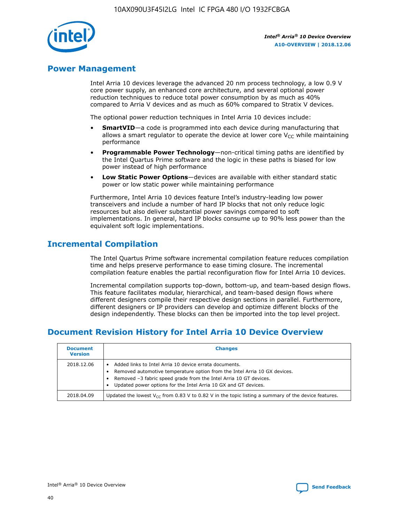

## **Power Management**

Intel Arria 10 devices leverage the advanced 20 nm process technology, a low 0.9 V core power supply, an enhanced core architecture, and several optional power reduction techniques to reduce total power consumption by as much as 40% compared to Arria V devices and as much as 60% compared to Stratix V devices.

The optional power reduction techniques in Intel Arria 10 devices include:

- **SmartVID**—a code is programmed into each device during manufacturing that allows a smart regulator to operate the device at lower core  $V_{CC}$  while maintaining performance
- **Programmable Power Technology**—non-critical timing paths are identified by the Intel Quartus Prime software and the logic in these paths is biased for low power instead of high performance
- **Low Static Power Options**—devices are available with either standard static power or low static power while maintaining performance

Furthermore, Intel Arria 10 devices feature Intel's industry-leading low power transceivers and include a number of hard IP blocks that not only reduce logic resources but also deliver substantial power savings compared to soft implementations. In general, hard IP blocks consume up to 90% less power than the equivalent soft logic implementations.

## **Incremental Compilation**

The Intel Quartus Prime software incremental compilation feature reduces compilation time and helps preserve performance to ease timing closure. The incremental compilation feature enables the partial reconfiguration flow for Intel Arria 10 devices.

Incremental compilation supports top-down, bottom-up, and team-based design flows. This feature facilitates modular, hierarchical, and team-based design flows where different designers compile their respective design sections in parallel. Furthermore, different designers or IP providers can develop and optimize different blocks of the design independently. These blocks can then be imported into the top level project.

## **Document Revision History for Intel Arria 10 Device Overview**

| <b>Document</b><br><b>Version</b> | <b>Changes</b>                                                                                                                                                                                                                                                              |
|-----------------------------------|-----------------------------------------------------------------------------------------------------------------------------------------------------------------------------------------------------------------------------------------------------------------------------|
| 2018.12.06                        | Added links to Intel Arria 10 device errata documents.<br>Removed automotive temperature option from the Intel Arria 10 GX devices.<br>Removed -3 fabric speed grade from the Intel Arria 10 GT devices.<br>Updated power options for the Intel Arria 10 GX and GT devices. |
| 2018.04.09                        | Updated the lowest $V_{CC}$ from 0.83 V to 0.82 V in the topic listing a summary of the device features.                                                                                                                                                                    |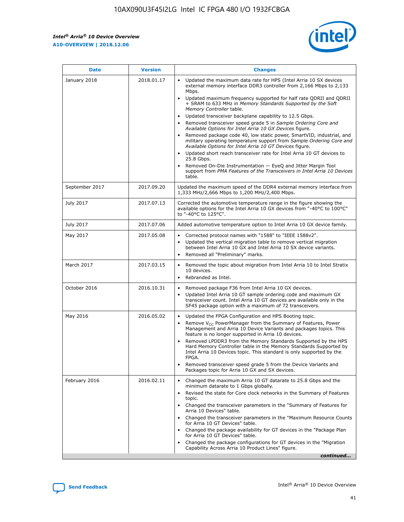

| <b>Date</b>    | <b>Version</b> | <b>Changes</b>                                                                                                                                                                                                                                                                                                                                                                                                                                                                                                                                                                                                                                                                                                                                                                                                                                                                                                                                               |
|----------------|----------------|--------------------------------------------------------------------------------------------------------------------------------------------------------------------------------------------------------------------------------------------------------------------------------------------------------------------------------------------------------------------------------------------------------------------------------------------------------------------------------------------------------------------------------------------------------------------------------------------------------------------------------------------------------------------------------------------------------------------------------------------------------------------------------------------------------------------------------------------------------------------------------------------------------------------------------------------------------------|
| January 2018   | 2018.01.17     | Updated the maximum data rate for HPS (Intel Arria 10 SX devices<br>external memory interface DDR3 controller from 2,166 Mbps to 2,133<br>Mbps.<br>Updated maximum frequency supported for half rate QDRII and QDRII<br>+ SRAM to 633 MHz in Memory Standards Supported by the Soft<br>Memory Controller table.<br>Updated transceiver backplane capability to 12.5 Gbps.<br>Removed transceiver speed grade 5 in Sample Ordering Core and<br>Available Options for Intel Arria 10 GX Devices figure.<br>Removed package code 40, low static power, SmartVID, industrial, and<br>military operating temperature support from Sample Ordering Core and<br>Available Options for Intel Arria 10 GT Devices figure.<br>Updated short reach transceiver rate for Intel Arria 10 GT devices to<br>25.8 Gbps.<br>Removed On-Die Instrumentation - EyeQ and Jitter Margin Tool<br>support from PMA Features of the Transceivers in Intel Arria 10 Devices<br>table. |
| September 2017 | 2017.09.20     | Updated the maximum speed of the DDR4 external memory interface from<br>1,333 MHz/2,666 Mbps to 1,200 MHz/2,400 Mbps.                                                                                                                                                                                                                                                                                                                                                                                                                                                                                                                                                                                                                                                                                                                                                                                                                                        |
| July 2017      | 2017.07.13     | Corrected the automotive temperature range in the figure showing the<br>available options for the Intel Arria 10 GX devices from "-40°C to 100°C"<br>to "-40°C to 125°C".                                                                                                                                                                                                                                                                                                                                                                                                                                                                                                                                                                                                                                                                                                                                                                                    |
| July 2017      | 2017.07.06     | Added automotive temperature option to Intel Arria 10 GX device family.                                                                                                                                                                                                                                                                                                                                                                                                                                                                                                                                                                                                                                                                                                                                                                                                                                                                                      |
| May 2017       | 2017.05.08     | Corrected protocol names with "1588" to "IEEE 1588v2".<br>Updated the vertical migration table to remove vertical migration<br>$\bullet$<br>between Intel Arria 10 GX and Intel Arria 10 SX device variants.<br>Removed all "Preliminary" marks.                                                                                                                                                                                                                                                                                                                                                                                                                                                                                                                                                                                                                                                                                                             |
| March 2017     | 2017.03.15     | Removed the topic about migration from Intel Arria 10 to Intel Stratix<br>10 devices.<br>Rebranded as Intel.<br>$\bullet$                                                                                                                                                                                                                                                                                                                                                                                                                                                                                                                                                                                                                                                                                                                                                                                                                                    |
| October 2016   | 2016.10.31     | Removed package F36 from Intel Arria 10 GX devices.<br>Updated Intel Arria 10 GT sample ordering code and maximum GX<br>$\bullet$<br>transceiver count. Intel Arria 10 GT devices are available only in the<br>SF45 package option with a maximum of 72 transceivers.                                                                                                                                                                                                                                                                                                                                                                                                                                                                                                                                                                                                                                                                                        |
| May 2016       | 2016.05.02     | Updated the FPGA Configuration and HPS Booting topic.<br>$\bullet$<br>Remove V <sub>CC</sub> PowerManager from the Summary of Features, Power<br>Management and Arria 10 Device Variants and packages topics. This<br>feature is no longer supported in Arria 10 devices.<br>Removed LPDDR3 from the Memory Standards Supported by the HPS<br>Hard Memory Controller table in the Memory Standards Supported by<br>Intel Arria 10 Devices topic. This standard is only supported by the<br>FPGA.<br>Removed transceiver speed grade 5 from the Device Variants and<br>Packages topic for Arria 10 GX and SX devices.                                                                                                                                                                                                                                                                                                                                         |
| February 2016  | 2016.02.11     | Changed the maximum Arria 10 GT datarate to 25.8 Gbps and the<br>minimum datarate to 1 Gbps globally.<br>Revised the state for Core clock networks in the Summary of Features<br>topic.<br>Changed the transceiver parameters in the "Summary of Features for<br>Arria 10 Devices" table.<br>Changed the transceiver parameters in the "Maximum Resource Counts"<br>for Arria 10 GT Devices" table.<br>Changed the package availability for GT devices in the "Package Plan<br>for Arria 10 GT Devices" table.<br>Changed the package configurations for GT devices in the "Migration"<br>Capability Across Arria 10 Product Lines" figure.<br>continued                                                                                                                                                                                                                                                                                                     |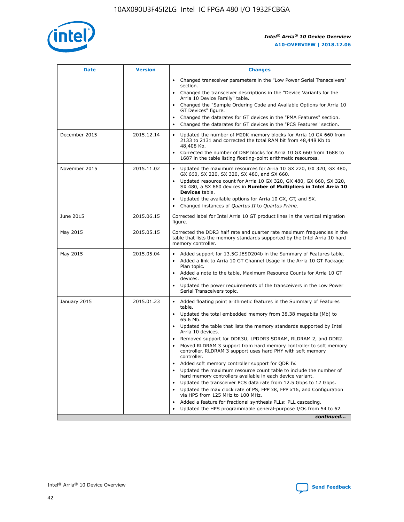

| <b>Date</b>   | <b>Version</b> | <b>Changes</b>                                                                                                                                                               |
|---------------|----------------|------------------------------------------------------------------------------------------------------------------------------------------------------------------------------|
|               |                | Changed transceiver parameters in the "Low Power Serial Transceivers"<br>$\bullet$<br>section.                                                                               |
|               |                | • Changed the transceiver descriptions in the "Device Variants for the<br>Arria 10 Device Family" table.                                                                     |
|               |                | • Changed the "Sample Ordering Code and Available Options for Arria 10<br>GT Devices" figure.                                                                                |
|               |                | Changed the datarates for GT devices in the "PMA Features" section.                                                                                                          |
|               |                | Changed the datarates for GT devices in the "PCS Features" section.<br>$\bullet$                                                                                             |
| December 2015 | 2015.12.14     | Updated the number of M20K memory blocks for Arria 10 GX 660 from<br>2133 to 2131 and corrected the total RAM bit from 48,448 Kb to<br>48,408 Kb.                            |
|               |                | Corrected the number of DSP blocks for Arria 10 GX 660 from 1688 to<br>$\bullet$<br>1687 in the table listing floating-point arithmetic resources.                           |
| November 2015 | 2015.11.02     | Updated the maximum resources for Arria 10 GX 220, GX 320, GX 480,<br>GX 660, SX 220, SX 320, SX 480, and SX 660.                                                            |
|               |                | Updated resource count for Arria 10 GX 320, GX 480, GX 660, SX 320,<br>SX 480, a SX 660 devices in Number of Multipliers in Intel Arria 10<br><b>Devices</b> table.          |
|               |                | Updated the available options for Arria 10 GX, GT, and SX.<br>$\bullet$                                                                                                      |
|               |                | Changed instances of Quartus II to Quartus Prime.<br>$\bullet$                                                                                                               |
| June 2015     | 2015.06.15     | Corrected label for Intel Arria 10 GT product lines in the vertical migration<br>figure.                                                                                     |
| May 2015      | 2015.05.15     | Corrected the DDR3 half rate and quarter rate maximum frequencies in the<br>table that lists the memory standards supported by the Intel Arria 10 hard<br>memory controller. |
| May 2015      | 2015.05.04     | • Added support for 13.5G JESD204b in the Summary of Features table.                                                                                                         |
|               |                | Added a link to Arria 10 GT Channel Usage in the Arria 10 GT Package<br>$\bullet$<br>Plan topic.                                                                             |
|               |                | • Added a note to the table, Maximum Resource Counts for Arria 10 GT<br>devices.                                                                                             |
|               |                | • Updated the power requirements of the transceivers in the Low Power<br>Serial Transceivers topic.                                                                          |
| January 2015  | 2015.01.23     | • Added floating point arithmetic features in the Summary of Features<br>table.                                                                                              |
|               |                | • Updated the total embedded memory from 38.38 megabits (Mb) to<br>65.6 Mb.                                                                                                  |
|               |                | • Updated the table that lists the memory standards supported by Intel<br>Arria 10 devices.                                                                                  |
|               |                | Removed support for DDR3U, LPDDR3 SDRAM, RLDRAM 2, and DDR2.                                                                                                                 |
|               |                | Moved RLDRAM 3 support from hard memory controller to soft memory<br>controller. RLDRAM 3 support uses hard PHY with soft memory<br>controller.                              |
|               |                | Added soft memory controller support for QDR IV.                                                                                                                             |
|               |                | Updated the maximum resource count table to include the number of<br>hard memory controllers available in each device variant.                                               |
|               |                | Updated the transceiver PCS data rate from 12.5 Gbps to 12 Gbps.                                                                                                             |
|               |                | Updated the max clock rate of PS, FPP x8, FPP x16, and Configuration<br>via HPS from 125 MHz to 100 MHz.                                                                     |
|               |                | Added a feature for fractional synthesis PLLs: PLL cascading.                                                                                                                |
|               |                | Updated the HPS programmable general-purpose I/Os from 54 to 62.<br>$\bullet$                                                                                                |
|               |                | continued                                                                                                                                                                    |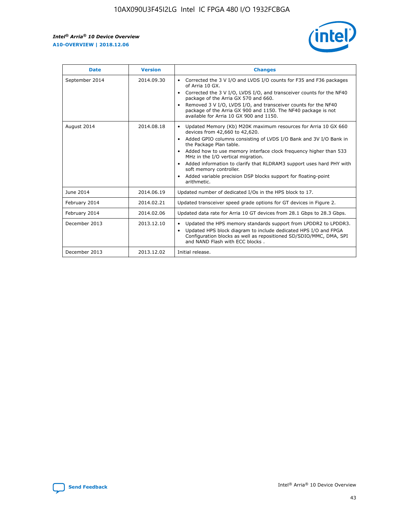r



| <b>Date</b>    | <b>Version</b> | <b>Changes</b>                                                                                                                                                                                                                                                                                                                                                                                                                                                                                                                                      |
|----------------|----------------|-----------------------------------------------------------------------------------------------------------------------------------------------------------------------------------------------------------------------------------------------------------------------------------------------------------------------------------------------------------------------------------------------------------------------------------------------------------------------------------------------------------------------------------------------------|
| September 2014 | 2014.09.30     | Corrected the 3 V I/O and LVDS I/O counts for F35 and F36 packages<br>$\bullet$<br>of Arria 10 GX.<br>Corrected the 3 V I/O, LVDS I/O, and transceiver counts for the NF40<br>$\bullet$<br>package of the Arria GX 570 and 660.<br>Removed 3 V I/O, LVDS I/O, and transceiver counts for the NF40<br>package of the Arria GX 900 and 1150. The NF40 package is not<br>available for Arria 10 GX 900 and 1150.                                                                                                                                       |
| August 2014    | 2014.08.18     | Updated Memory (Kb) M20K maximum resources for Arria 10 GX 660<br>devices from 42,660 to 42,620.<br>Added GPIO columns consisting of LVDS I/O Bank and 3V I/O Bank in<br>$\bullet$<br>the Package Plan table.<br>Added how to use memory interface clock frequency higher than 533<br>$\bullet$<br>MHz in the I/O vertical migration.<br>Added information to clarify that RLDRAM3 support uses hard PHY with<br>$\bullet$<br>soft memory controller.<br>Added variable precision DSP blocks support for floating-point<br>$\bullet$<br>arithmetic. |
| June 2014      | 2014.06.19     | Updated number of dedicated I/Os in the HPS block to 17.                                                                                                                                                                                                                                                                                                                                                                                                                                                                                            |
| February 2014  | 2014.02.21     | Updated transceiver speed grade options for GT devices in Figure 2.                                                                                                                                                                                                                                                                                                                                                                                                                                                                                 |
| February 2014  | 2014.02.06     | Updated data rate for Arria 10 GT devices from 28.1 Gbps to 28.3 Gbps.                                                                                                                                                                                                                                                                                                                                                                                                                                                                              |
| December 2013  | 2013.12.10     | Updated the HPS memory standards support from LPDDR2 to LPDDR3.<br>Updated HPS block diagram to include dedicated HPS I/O and FPGA<br>$\bullet$<br>Configuration blocks as well as repositioned SD/SDIO/MMC, DMA, SPI<br>and NAND Flash with ECC blocks.                                                                                                                                                                                                                                                                                            |
| December 2013  | 2013.12.02     | Initial release.                                                                                                                                                                                                                                                                                                                                                                                                                                                                                                                                    |